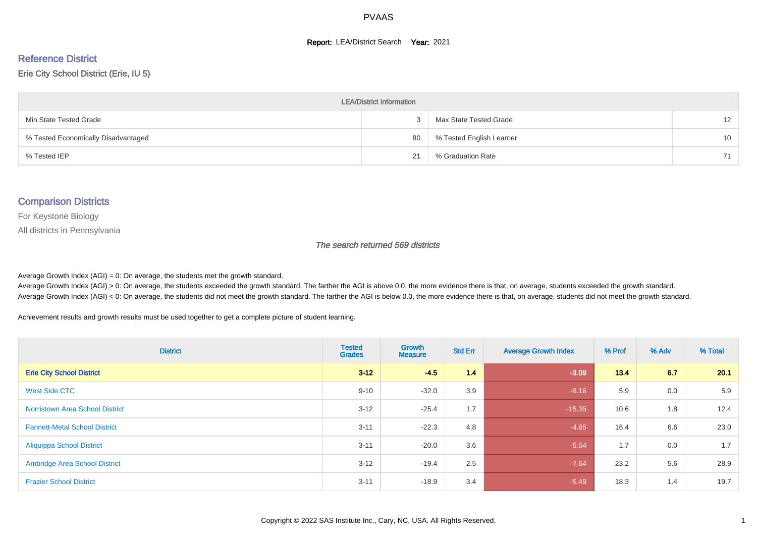#### **Report: LEA/District Search Year: 2021**

# Reference District

#### Erie City School District (Erie, IU 5)

| <b>LEA/District Information</b>     |    |                          |                   |  |  |  |  |  |  |  |
|-------------------------------------|----|--------------------------|-------------------|--|--|--|--|--|--|--|
| Min State Tested Grade              |    | Max State Tested Grade   | $12 \overline{ }$ |  |  |  |  |  |  |  |
| % Tested Economically Disadvantaged | 80 | % Tested English Learner | 10                |  |  |  |  |  |  |  |
| % Tested IEP                        | 21 | % Graduation Rate        | 71                |  |  |  |  |  |  |  |

#### Comparison Districts

For Keystone Biology

All districts in Pennsylvania

The search returned 569 districts

Average Growth Index  $(AGI) = 0$ : On average, the students met the growth standard.

Average Growth Index (AGI) > 0: On average, the students exceeded the growth standard. The farther the AGI is above 0.0, the more evidence there is that, on average, students exceeded the growth standard. Average Growth Index (AGI) < 0: On average, the students did not meet the growth standard. The farther the AGI is below 0.0, the more evidence there is that, on average, students did not meet the growth standard.

Achievement results and growth results must be used together to get a complete picture of student learning.

| <b>District</b>                        | <b>Tested</b><br><b>Grades</b> | Growth<br><b>Measure</b> | <b>Std Err</b> | <b>Average Growth Index</b> | % Prof | % Adv | % Total |
|----------------------------------------|--------------------------------|--------------------------|----------------|-----------------------------|--------|-------|---------|
| <b>Erie City School District</b>       | $3 - 12$                       | $-4.5$                   | 1.4            | $-3.09$                     | 13.4   | 6.7   | 20.1    |
| West Side CTC                          | $9 - 10$                       | $-32.0$                  | 3.9            | $-8.16$                     | 5.9    | 0.0   | 5.9     |
| <b>Norristown Area School District</b> | $3 - 12$                       | $-25.4$                  | 1.7            | $-15.35$                    | 10.6   | 1.8   | 12.4    |
| <b>Fannett-Metal School District</b>   | $3 - 11$                       | $-22.3$                  | 4.8            | $-4.65$                     | 16.4   | 6.6   | 23.0    |
| <b>Aliquippa School District</b>       | $3 - 11$                       | $-20.0$                  | 3.6            | $-5.54$                     | 1.7    | 0.0   | 1.7     |
| <b>Ambridge Area School District</b>   | $3 - 12$                       | $-19.4$                  | 2.5            | $-7.64$                     | 23.2   | 5.6   | 28.9    |
| <b>Frazier School District</b>         | $3 - 11$                       | $-18.9$                  | 3.4            | $-5.49$                     | 18.3   | 1.4   | 19.7    |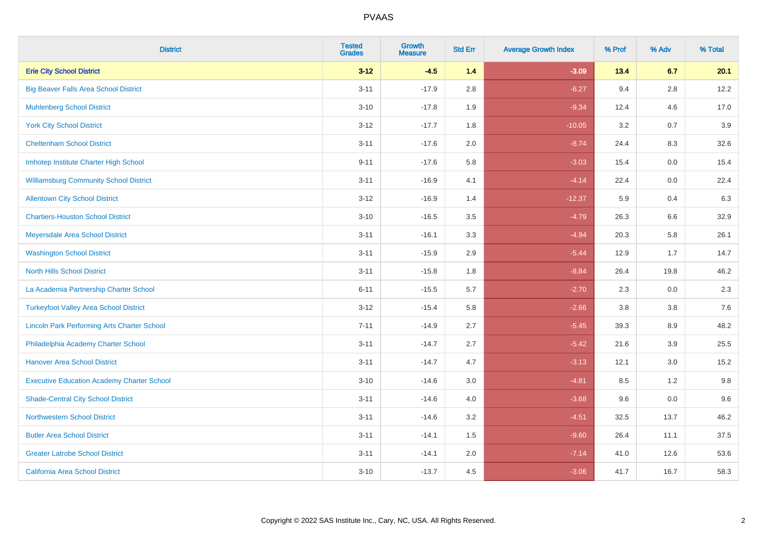| <b>District</b>                                    | <b>Tested</b><br><b>Grades</b> | Growth<br><b>Measure</b> | <b>Std Err</b> | <b>Average Growth Index</b> | % Prof | % Adv   | % Total |
|----------------------------------------------------|--------------------------------|--------------------------|----------------|-----------------------------|--------|---------|---------|
| <b>Erie City School District</b>                   | $3 - 12$                       | $-4.5$                   | $1.4$          | $-3.09$                     | 13.4   | 6.7     | 20.1    |
| <b>Big Beaver Falls Area School District</b>       | $3 - 11$                       | $-17.9$                  | 2.8            | $-6.27$                     | 9.4    | 2.8     | 12.2    |
| <b>Muhlenberg School District</b>                  | $3 - 10$                       | $-17.8$                  | 1.9            | $-9.34$                     | 12.4   | 4.6     | 17.0    |
| <b>York City School District</b>                   | $3 - 12$                       | $-17.7$                  | 1.8            | $-10.05$                    | 3.2    | 0.7     | 3.9     |
| <b>Cheltenham School District</b>                  | $3 - 11$                       | $-17.6$                  | 2.0            | $-8.74$                     | 24.4   | 8.3     | 32.6    |
| Imhotep Institute Charter High School              | $9 - 11$                       | $-17.6$                  | 5.8            | $-3.03$                     | 15.4   | 0.0     | 15.4    |
| <b>Williamsburg Community School District</b>      | $3 - 11$                       | $-16.9$                  | 4.1            | $-4.14$                     | 22.4   | $0.0\,$ | 22.4    |
| <b>Allentown City School District</b>              | $3 - 12$                       | $-16.9$                  | 1.4            | $-12.37$                    | 5.9    | 0.4     | 6.3     |
| <b>Chartiers-Houston School District</b>           | $3 - 10$                       | $-16.5$                  | 3.5            | $-4.79$                     | 26.3   | 6.6     | 32.9    |
| Meyersdale Area School District                    | $3 - 11$                       | $-16.1$                  | 3.3            | $-4.94$                     | 20.3   | 5.8     | 26.1    |
| <b>Washington School District</b>                  | $3 - 11$                       | $-15.9$                  | 2.9            | $-5.44$                     | 12.9   | 1.7     | 14.7    |
| <b>North Hills School District</b>                 | $3 - 11$                       | $-15.8$                  | 1.8            | $-8.84$                     | 26.4   | 19.8    | 46.2    |
| La Academia Partnership Charter School             | $6 - 11$                       | $-15.5$                  | 5.7            | $-2.70$                     | 2.3    | 0.0     | 2.3     |
| <b>Turkeyfoot Valley Area School District</b>      | $3 - 12$                       | $-15.4$                  | 5.8            | $-2.66$                     | 3.8    | $3.8\,$ | 7.6     |
| <b>Lincoln Park Performing Arts Charter School</b> | $7 - 11$                       | $-14.9$                  | 2.7            | $-5.45$                     | 39.3   | 8.9     | 48.2    |
| Philadelphia Academy Charter School                | $3 - 11$                       | $-14.7$                  | 2.7            | $-5.42$                     | 21.6   | 3.9     | 25.5    |
| <b>Hanover Area School District</b>                | $3 - 11$                       | $-14.7$                  | 4.7            | $-3.13$                     | 12.1   | 3.0     | 15.2    |
| <b>Executive Education Academy Charter School</b>  | $3 - 10$                       | $-14.6$                  | 3.0            | $-4.81$                     | 8.5    | 1.2     | 9.8     |
| <b>Shade-Central City School District</b>          | $3 - 11$                       | $-14.6$                  | 4.0            | $-3.68$                     | 9.6    | 0.0     | 9.6     |
| <b>Northwestern School District</b>                | $3 - 11$                       | $-14.6$                  | 3.2            | $-4.51$                     | 32.5   | 13.7    | 46.2    |
| <b>Butler Area School District</b>                 | $3 - 11$                       | $-14.1$                  | 1.5            | $-9.60$                     | 26.4   | 11.1    | 37.5    |
| <b>Greater Latrobe School District</b>             | $3 - 11$                       | $-14.1$                  | 2.0            | $-7.14$                     | 41.0   | 12.6    | 53.6    |
| <b>California Area School District</b>             | $3 - 10$                       | $-13.7$                  | 4.5            | $-3.06$                     | 41.7   | 16.7    | 58.3    |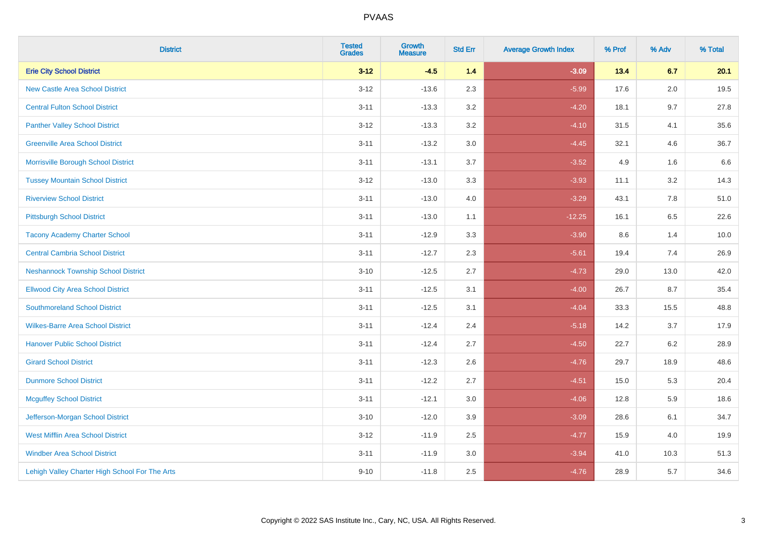| <b>District</b>                                | <b>Tested</b><br><b>Grades</b> | <b>Growth</b><br><b>Measure</b> | <b>Std Err</b> | <b>Average Growth Index</b> | % Prof | % Adv | % Total |
|------------------------------------------------|--------------------------------|---------------------------------|----------------|-----------------------------|--------|-------|---------|
| <b>Erie City School District</b>               | $3 - 12$                       | $-4.5$                          | 1.4            | $-3.09$                     | 13.4   | 6.7   | 20.1    |
| <b>New Castle Area School District</b>         | $3 - 12$                       | $-13.6$                         | 2.3            | $-5.99$                     | 17.6   | 2.0   | 19.5    |
| <b>Central Fulton School District</b>          | $3 - 11$                       | $-13.3$                         | 3.2            | $-4.20$                     | 18.1   | 9.7   | 27.8    |
| <b>Panther Valley School District</b>          | $3 - 12$                       | $-13.3$                         | 3.2            | $-4.10$                     | 31.5   | 4.1   | 35.6    |
| <b>Greenville Area School District</b>         | $3 - 11$                       | $-13.2$                         | 3.0            | $-4.45$                     | 32.1   | 4.6   | 36.7    |
| Morrisville Borough School District            | $3 - 11$                       | $-13.1$                         | 3.7            | $-3.52$                     | 4.9    | 1.6   | 6.6     |
| <b>Tussey Mountain School District</b>         | $3 - 12$                       | $-13.0$                         | 3.3            | $-3.93$                     | 11.1   | 3.2   | 14.3    |
| <b>Riverview School District</b>               | $3 - 11$                       | $-13.0$                         | 4.0            | $-3.29$                     | 43.1   | 7.8   | 51.0    |
| <b>Pittsburgh School District</b>              | $3 - 11$                       | $-13.0$                         | 1.1            | $-12.25$                    | 16.1   | 6.5   | 22.6    |
| <b>Tacony Academy Charter School</b>           | $3 - 11$                       | $-12.9$                         | 3.3            | $-3.90$                     | 8.6    | 1.4   | 10.0    |
| <b>Central Cambria School District</b>         | $3 - 11$                       | $-12.7$                         | 2.3            | $-5.61$                     | 19.4   | 7.4   | 26.9    |
| <b>Neshannock Township School District</b>     | $3 - 10$                       | $-12.5$                         | 2.7            | $-4.73$                     | 29.0   | 13.0  | 42.0    |
| <b>Ellwood City Area School District</b>       | $3 - 11$                       | $-12.5$                         | 3.1            | $-4.00$                     | 26.7   | 8.7   | 35.4    |
| <b>Southmoreland School District</b>           | $3 - 11$                       | $-12.5$                         | 3.1            | $-4.04$                     | 33.3   | 15.5  | 48.8    |
| <b>Wilkes-Barre Area School District</b>       | $3 - 11$                       | $-12.4$                         | 2.4            | $-5.18$                     | 14.2   | 3.7   | 17.9    |
| <b>Hanover Public School District</b>          | $3 - 11$                       | $-12.4$                         | 2.7            | $-4.50$                     | 22.7   | 6.2   | 28.9    |
| <b>Girard School District</b>                  | $3 - 11$                       | $-12.3$                         | 2.6            | $-4.76$                     | 29.7   | 18.9  | 48.6    |
| <b>Dunmore School District</b>                 | $3 - 11$                       | $-12.2$                         | 2.7            | $-4.51$                     | 15.0   | 5.3   | 20.4    |
| <b>Mcguffey School District</b>                | $3 - 11$                       | $-12.1$                         | 3.0            | $-4.06$                     | 12.8   | 5.9   | 18.6    |
| Jefferson-Morgan School District               | $3 - 10$                       | $-12.0$                         | 3.9            | $-3.09$                     | 28.6   | 6.1   | 34.7    |
| <b>West Mifflin Area School District</b>       | $3 - 12$                       | $-11.9$                         | 2.5            | $-4.77$                     | 15.9   | 4.0   | 19.9    |
| <b>Windber Area School District</b>            | $3 - 11$                       | $-11.9$                         | 3.0            | $-3.94$                     | 41.0   | 10.3  | 51.3    |
| Lehigh Valley Charter High School For The Arts | $9 - 10$                       | $-11.8$                         | 2.5            | $-4.76$                     | 28.9   | 5.7   | 34.6    |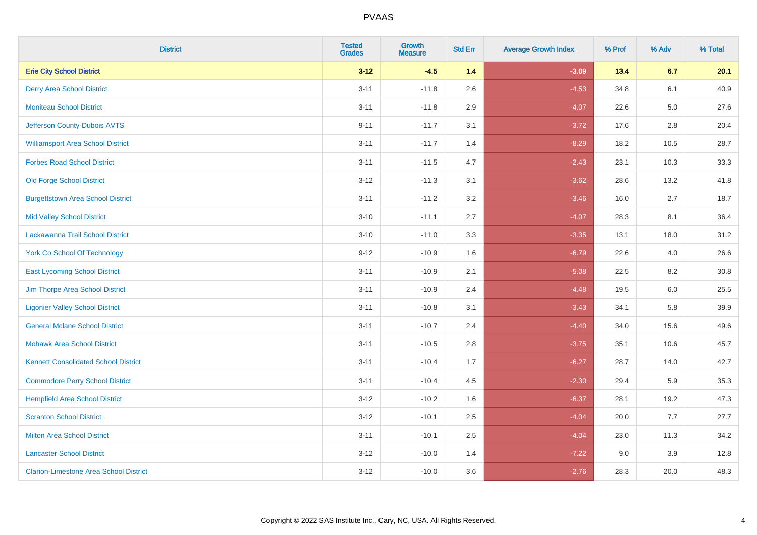| <b>District</b>                               | <b>Tested</b><br><b>Grades</b> | Growth<br><b>Measure</b> | <b>Std Err</b> | <b>Average Growth Index</b> | % Prof | % Adv   | % Total |
|-----------------------------------------------|--------------------------------|--------------------------|----------------|-----------------------------|--------|---------|---------|
| <b>Erie City School District</b>              | $3 - 12$                       | $-4.5$                   | $1.4$          | $-3.09$                     | 13.4   | 6.7     | 20.1    |
| <b>Derry Area School District</b>             | $3 - 11$                       | $-11.8$                  | 2.6            | $-4.53$                     | 34.8   | 6.1     | 40.9    |
| <b>Moniteau School District</b>               | $3 - 11$                       | $-11.8$                  | 2.9            | $-4.07$                     | 22.6   | $5.0\,$ | 27.6    |
| Jefferson County-Dubois AVTS                  | $9 - 11$                       | $-11.7$                  | 3.1            | $-3.72$                     | 17.6   | $2.8\,$ | 20.4    |
| <b>Williamsport Area School District</b>      | $3 - 11$                       | $-11.7$                  | 1.4            | $-8.29$                     | 18.2   | 10.5    | 28.7    |
| <b>Forbes Road School District</b>            | $3 - 11$                       | $-11.5$                  | 4.7            | $-2.43$                     | 23.1   | 10.3    | 33.3    |
| <b>Old Forge School District</b>              | $3 - 12$                       | $-11.3$                  | 3.1            | $-3.62$                     | 28.6   | 13.2    | 41.8    |
| <b>Burgettstown Area School District</b>      | $3 - 11$                       | $-11.2$                  | 3.2            | $-3.46$                     | 16.0   | 2.7     | 18.7    |
| <b>Mid Valley School District</b>             | $3 - 10$                       | $-11.1$                  | 2.7            | $-4.07$                     | 28.3   | 8.1     | 36.4    |
| Lackawanna Trail School District              | $3 - 10$                       | $-11.0$                  | 3.3            | $-3.35$                     | 13.1   | 18.0    | 31.2    |
| <b>York Co School Of Technology</b>           | $9 - 12$                       | $-10.9$                  | 1.6            | $-6.79$                     | 22.6   | 4.0     | 26.6    |
| <b>East Lycoming School District</b>          | $3 - 11$                       | $-10.9$                  | 2.1            | $-5.08$                     | 22.5   | 8.2     | 30.8    |
| Jim Thorpe Area School District               | $3 - 11$                       | $-10.9$                  | 2.4            | $-4.48$                     | 19.5   | 6.0     | 25.5    |
| <b>Ligonier Valley School District</b>        | $3 - 11$                       | $-10.8$                  | 3.1            | $-3.43$                     | 34.1   | 5.8     | 39.9    |
| <b>General Mclane School District</b>         | $3 - 11$                       | $-10.7$                  | 2.4            | $-4.40$                     | 34.0   | 15.6    | 49.6    |
| <b>Mohawk Area School District</b>            | $3 - 11$                       | $-10.5$                  | 2.8            | $-3.75$                     | 35.1   | 10.6    | 45.7    |
| <b>Kennett Consolidated School District</b>   | $3 - 11$                       | $-10.4$                  | 1.7            | $-6.27$                     | 28.7   | 14.0    | 42.7    |
| <b>Commodore Perry School District</b>        | $3 - 11$                       | $-10.4$                  | 4.5            | $-2.30$                     | 29.4   | 5.9     | 35.3    |
| <b>Hempfield Area School District</b>         | $3 - 12$                       | $-10.2$                  | 1.6            | $-6.37$                     | 28.1   | 19.2    | 47.3    |
| <b>Scranton School District</b>               | $3 - 12$                       | $-10.1$                  | 2.5            | $-4.04$                     | 20.0   | 7.7     | 27.7    |
| <b>Milton Area School District</b>            | $3 - 11$                       | $-10.1$                  | 2.5            | $-4.04$                     | 23.0   | 11.3    | 34.2    |
| <b>Lancaster School District</b>              | $3 - 12$                       | $-10.0$                  | 1.4            | $-7.22$                     | 9.0    | 3.9     | 12.8    |
| <b>Clarion-Limestone Area School District</b> | $3 - 12$                       | $-10.0$                  | 3.6            | $-2.76$                     | 28.3   | 20.0    | 48.3    |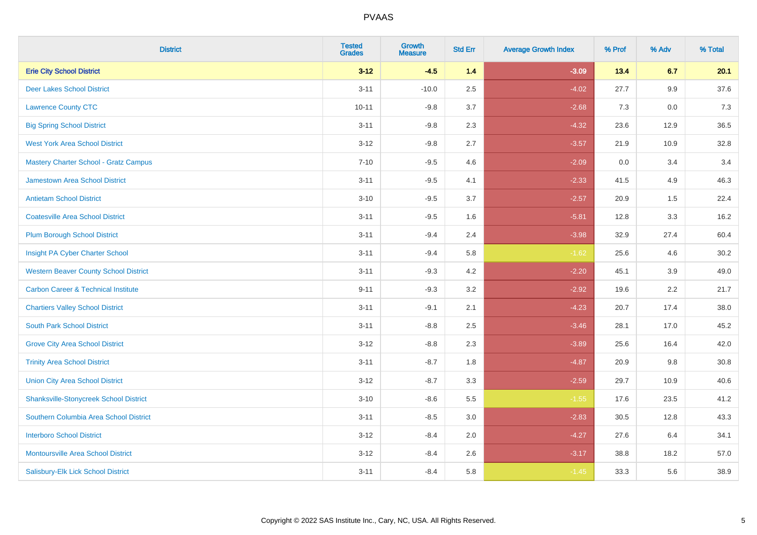| <b>District</b>                                | <b>Tested</b><br><b>Grades</b> | Growth<br><b>Measure</b> | <b>Std Err</b> | <b>Average Growth Index</b> | % Prof | % Adv | % Total |
|------------------------------------------------|--------------------------------|--------------------------|----------------|-----------------------------|--------|-------|---------|
| <b>Erie City School District</b>               | $3 - 12$                       | $-4.5$                   | $1.4$          | $-3.09$                     | 13.4   | 6.7   | 20.1    |
| <b>Deer Lakes School District</b>              | $3 - 11$                       | $-10.0$                  | 2.5            | $-4.02$                     | 27.7   | 9.9   | 37.6    |
| <b>Lawrence County CTC</b>                     | $10 - 11$                      | $-9.8$                   | 3.7            | $-2.68$                     | 7.3    | 0.0   | 7.3     |
| <b>Big Spring School District</b>              | $3 - 11$                       | $-9.8$                   | 2.3            | $-4.32$                     | 23.6   | 12.9  | 36.5    |
| <b>West York Area School District</b>          | $3 - 12$                       | $-9.8$                   | 2.7            | $-3.57$                     | 21.9   | 10.9  | 32.8    |
| <b>Mastery Charter School - Gratz Campus</b>   | $7 - 10$                       | $-9.5$                   | 4.6            | $-2.09$                     | 0.0    | 3.4   | 3.4     |
| Jamestown Area School District                 | $3 - 11$                       | $-9.5$                   | 4.1            | $-2.33$                     | 41.5   | 4.9   | 46.3    |
| <b>Antietam School District</b>                | $3 - 10$                       | $-9.5$                   | 3.7            | $-2.57$                     | 20.9   | 1.5   | 22.4    |
| <b>Coatesville Area School District</b>        | $3 - 11$                       | $-9.5$                   | 1.6            | $-5.81$                     | 12.8   | 3.3   | 16.2    |
| <b>Plum Borough School District</b>            | $3 - 11$                       | $-9.4$                   | 2.4            | $-3.98$                     | 32.9   | 27.4  | 60.4    |
| Insight PA Cyber Charter School                | $3 - 11$                       | $-9.4$                   | 5.8            | $-1.62$                     | 25.6   | 4.6   | 30.2    |
| <b>Western Beaver County School District</b>   | $3 - 11$                       | $-9.3$                   | 4.2            | $-2.20$                     | 45.1   | 3.9   | 49.0    |
| <b>Carbon Career &amp; Technical Institute</b> | $9 - 11$                       | $-9.3$                   | 3.2            | $-2.92$                     | 19.6   | 2.2   | 21.7    |
| <b>Chartiers Valley School District</b>        | $3 - 11$                       | $-9.1$                   | 2.1            | $-4.23$                     | 20.7   | 17.4  | 38.0    |
| <b>South Park School District</b>              | $3 - 11$                       | $-8.8$                   | 2.5            | $-3.46$                     | 28.1   | 17.0  | 45.2    |
| <b>Grove City Area School District</b>         | $3 - 12$                       | $-8.8$                   | 2.3            | $-3.89$                     | 25.6   | 16.4  | 42.0    |
| <b>Trinity Area School District</b>            | $3 - 11$                       | $-8.7$                   | 1.8            | $-4.87$                     | 20.9   | 9.8   | 30.8    |
| <b>Union City Area School District</b>         | $3 - 12$                       | $-8.7$                   | 3.3            | $-2.59$                     | 29.7   | 10.9  | 40.6    |
| <b>Shanksville-Stonycreek School District</b>  | $3 - 10$                       | $-8.6$                   | 5.5            | $-1.55$                     | 17.6   | 23.5  | 41.2    |
| Southern Columbia Area School District         | $3 - 11$                       | $-8.5$                   | 3.0            | $-2.83$                     | 30.5   | 12.8  | 43.3    |
| <b>Interboro School District</b>               | $3 - 12$                       | $-8.4$                   | 2.0            | $-4.27$                     | 27.6   | 6.4   | 34.1    |
| <b>Montoursville Area School District</b>      | $3 - 12$                       | $-8.4$                   | 2.6            | $-3.17$                     | 38.8   | 18.2  | 57.0    |
| Salisbury-Elk Lick School District             | $3 - 11$                       | $-8.4$                   | 5.8            | $-1.45$                     | 33.3   | 5.6   | 38.9    |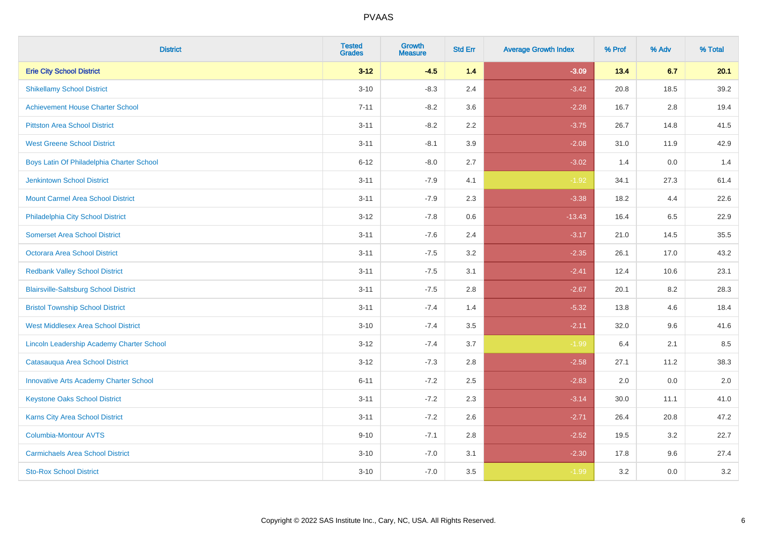| <b>District</b>                               | <b>Tested</b><br><b>Grades</b> | <b>Growth</b><br><b>Measure</b> | <b>Std Err</b> | <b>Average Growth Index</b> | % Prof | % Adv | % Total |
|-----------------------------------------------|--------------------------------|---------------------------------|----------------|-----------------------------|--------|-------|---------|
| <b>Erie City School District</b>              | $3 - 12$                       | $-4.5$                          | 1.4            | $-3.09$                     | 13.4   | 6.7   | 20.1    |
| <b>Shikellamy School District</b>             | $3 - 10$                       | $-8.3$                          | 2.4            | $-3.42$                     | 20.8   | 18.5  | 39.2    |
| <b>Achievement House Charter School</b>       | $7 - 11$                       | $-8.2$                          | 3.6            | $-2.28$                     | 16.7   | 2.8   | 19.4    |
| <b>Pittston Area School District</b>          | $3 - 11$                       | $-8.2$                          | 2.2            | $-3.75$                     | 26.7   | 14.8  | 41.5    |
| <b>West Greene School District</b>            | $3 - 11$                       | $-8.1$                          | 3.9            | $-2.08$                     | 31.0   | 11.9  | 42.9    |
| Boys Latin Of Philadelphia Charter School     | $6 - 12$                       | $-8.0$                          | 2.7            | $-3.02$                     | 1.4    | 0.0   | 1.4     |
| <b>Jenkintown School District</b>             | $3 - 11$                       | $-7.9$                          | 4.1            | $-1.92$                     | 34.1   | 27.3  | 61.4    |
| <b>Mount Carmel Area School District</b>      | $3 - 11$                       | $-7.9$                          | 2.3            | $-3.38$                     | 18.2   | 4.4   | 22.6    |
| Philadelphia City School District             | $3 - 12$                       | $-7.8$                          | 0.6            | $-13.43$                    | 16.4   | 6.5   | 22.9    |
| <b>Somerset Area School District</b>          | $3 - 11$                       | $-7.6$                          | 2.4            | $-3.17$                     | 21.0   | 14.5  | 35.5    |
| Octorara Area School District                 | $3 - 11$                       | $-7.5$                          | 3.2            | $-2.35$                     | 26.1   | 17.0  | 43.2    |
| <b>Redbank Valley School District</b>         | $3 - 11$                       | $-7.5$                          | 3.1            | $-2.41$                     | 12.4   | 10.6  | 23.1    |
| <b>Blairsville-Saltsburg School District</b>  | $3 - 11$                       | $-7.5$                          | 2.8            | $-2.67$                     | 20.1   | 8.2   | 28.3    |
| <b>Bristol Township School District</b>       | $3 - 11$                       | $-7.4$                          | 1.4            | $-5.32$                     | 13.8   | 4.6   | 18.4    |
| <b>West Middlesex Area School District</b>    | $3 - 10$                       | $-7.4$                          | 3.5            | $-2.11$                     | 32.0   | 9.6   | 41.6    |
| Lincoln Leadership Academy Charter School     | $3 - 12$                       | $-7.4$                          | 3.7            | $-1.99$                     | 6.4    | 2.1   | 8.5     |
| Catasauqua Area School District               | $3 - 12$                       | $-7.3$                          | 2.8            | $-2.58$                     | 27.1   | 11.2  | 38.3    |
| <b>Innovative Arts Academy Charter School</b> | $6 - 11$                       | $-7.2$                          | 2.5            | $-2.83$                     | 2.0    | 0.0   | 2.0     |
| <b>Keystone Oaks School District</b>          | $3 - 11$                       | $-7.2$                          | 2.3            | $-3.14$                     | 30.0   | 11.1  | 41.0    |
| Karns City Area School District               | $3 - 11$                       | $-7.2$                          | 2.6            | $-2.71$                     | 26.4   | 20.8  | 47.2    |
| <b>Columbia-Montour AVTS</b>                  | $9 - 10$                       | $-7.1$                          | 2.8            | $-2.52$                     | 19.5   | 3.2   | 22.7    |
| <b>Carmichaels Area School District</b>       | $3 - 10$                       | $-7.0$                          | 3.1            | $-2.30$                     | 17.8   | 9.6   | 27.4    |
| <b>Sto-Rox School District</b>                | $3 - 10$                       | $-7.0$                          | 3.5            | $-1.99$                     | 3.2    | 0.0   | 3.2     |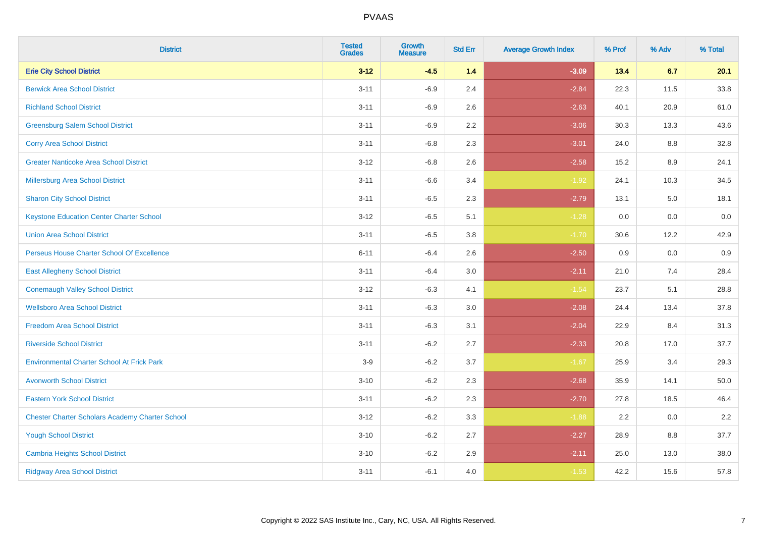| <b>District</b>                                        | <b>Tested</b><br><b>Grades</b> | <b>Growth</b><br><b>Measure</b> | <b>Std Err</b> | <b>Average Growth Index</b> | % Prof | % Adv | % Total |
|--------------------------------------------------------|--------------------------------|---------------------------------|----------------|-----------------------------|--------|-------|---------|
| <b>Erie City School District</b>                       | $3 - 12$                       | $-4.5$                          | 1.4            | $-3.09$                     | 13.4   | 6.7   | 20.1    |
| <b>Berwick Area School District</b>                    | $3 - 11$                       | $-6.9$                          | 2.4            | $-2.84$                     | 22.3   | 11.5  | 33.8    |
| <b>Richland School District</b>                        | $3 - 11$                       | $-6.9$                          | 2.6            | $-2.63$                     | 40.1   | 20.9  | 61.0    |
| <b>Greensburg Salem School District</b>                | $3 - 11$                       | $-6.9$                          | 2.2            | $-3.06$                     | 30.3   | 13.3  | 43.6    |
| <b>Corry Area School District</b>                      | $3 - 11$                       | $-6.8$                          | 2.3            | $-3.01$                     | 24.0   | 8.8   | 32.8    |
| <b>Greater Nanticoke Area School District</b>          | $3 - 12$                       | $-6.8$                          | 2.6            | $-2.58$                     | 15.2   | 8.9   | 24.1    |
| Millersburg Area School District                       | $3 - 11$                       | $-6.6$                          | 3.4            | $-1.92$                     | 24.1   | 10.3  | 34.5    |
| <b>Sharon City School District</b>                     | $3 - 11$                       | $-6.5$                          | 2.3            | $-2.79$                     | 13.1   | 5.0   | 18.1    |
| <b>Keystone Education Center Charter School</b>        | $3 - 12$                       | $-6.5$                          | 5.1            | $-1.28$                     | 0.0    | 0.0   | 0.0     |
| <b>Union Area School District</b>                      | $3 - 11$                       | $-6.5$                          | 3.8            | $-1.70$                     | 30.6   | 12.2  | 42.9    |
| Perseus House Charter School Of Excellence             | $6 - 11$                       | $-6.4$                          | 2.6            | $-2.50$                     | 0.9    | 0.0   | 0.9     |
| <b>East Allegheny School District</b>                  | $3 - 11$                       | $-6.4$                          | 3.0            | $-2.11$                     | 21.0   | 7.4   | 28.4    |
| <b>Conemaugh Valley School District</b>                | $3 - 12$                       | $-6.3$                          | 4.1            | $-1.54$                     | 23.7   | 5.1   | 28.8    |
| <b>Wellsboro Area School District</b>                  | $3 - 11$                       | $-6.3$                          | 3.0            | $-2.08$                     | 24.4   | 13.4  | 37.8    |
| <b>Freedom Area School District</b>                    | $3 - 11$                       | $-6.3$                          | 3.1            | $-2.04$                     | 22.9   | 8.4   | 31.3    |
| <b>Riverside School District</b>                       | $3 - 11$                       | $-6.2$                          | 2.7            | $-2.33$                     | 20.8   | 17.0  | 37.7    |
| <b>Environmental Charter School At Frick Park</b>      | $3-9$                          | $-6.2$                          | 3.7            | $-1.67$                     | 25.9   | 3.4   | 29.3    |
| <b>Avonworth School District</b>                       | $3 - 10$                       | $-6.2$                          | 2.3            | $-2.68$                     | 35.9   | 14.1  | 50.0    |
| <b>Eastern York School District</b>                    | $3 - 11$                       | $-6.2$                          | 2.3            | $-2.70$                     | 27.8   | 18.5  | 46.4    |
| <b>Chester Charter Scholars Academy Charter School</b> | $3 - 12$                       | $-6.2$                          | 3.3            | $-1.88$                     | 2.2    | 0.0   | 2.2     |
| <b>Yough School District</b>                           | $3 - 10$                       | $-6.2$                          | 2.7            | $-2.27$                     | 28.9   | 8.8   | 37.7    |
| <b>Cambria Heights School District</b>                 | $3 - 10$                       | $-6.2$                          | 2.9            | $-2.11$                     | 25.0   | 13.0  | 38.0    |
| <b>Ridgway Area School District</b>                    | $3 - 11$                       | $-6.1$                          | 4.0            | $-1.53$                     | 42.2   | 15.6  | 57.8    |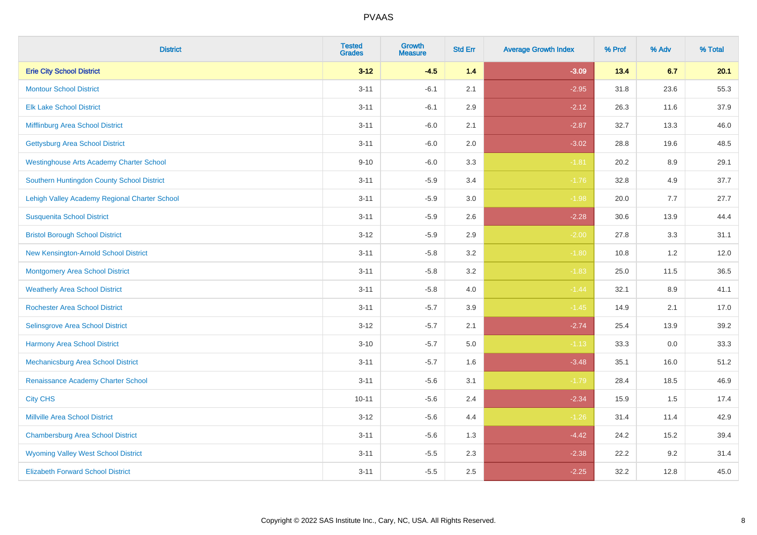| <b>District</b>                                 | <b>Tested</b><br><b>Grades</b> | <b>Growth</b><br><b>Measure</b> | <b>Std Err</b> | <b>Average Growth Index</b> | % Prof | % Adv | % Total |
|-------------------------------------------------|--------------------------------|---------------------------------|----------------|-----------------------------|--------|-------|---------|
| <b>Erie City School District</b>                | $3 - 12$                       | $-4.5$                          | 1.4            | $-3.09$                     | 13.4   | 6.7   | 20.1    |
| <b>Montour School District</b>                  | $3 - 11$                       | $-6.1$                          | 2.1            | $-2.95$                     | 31.8   | 23.6  | 55.3    |
| <b>Elk Lake School District</b>                 | $3 - 11$                       | $-6.1$                          | 2.9            | $-2.12$                     | 26.3   | 11.6  | 37.9    |
| Mifflinburg Area School District                | $3 - 11$                       | $-6.0$                          | 2.1            | $-2.87$                     | 32.7   | 13.3  | 46.0    |
| <b>Gettysburg Area School District</b>          | $3 - 11$                       | $-6.0$                          | 2.0            | $-3.02$                     | 28.8   | 19.6  | 48.5    |
| <b>Westinghouse Arts Academy Charter School</b> | $9 - 10$                       | $-6.0$                          | 3.3            | $-1.81$                     | 20.2   | 8.9   | 29.1    |
| Southern Huntingdon County School District      | $3 - 11$                       | $-5.9$                          | 3.4            | $-1.76$                     | 32.8   | 4.9   | 37.7    |
| Lehigh Valley Academy Regional Charter School   | $3 - 11$                       | $-5.9$                          | 3.0            | $-1.98$                     | 20.0   | 7.7   | 27.7    |
| <b>Susquenita School District</b>               | $3 - 11$                       | $-5.9$                          | 2.6            | $-2.28$                     | 30.6   | 13.9  | 44.4    |
| <b>Bristol Borough School District</b>          | $3 - 12$                       | $-5.9$                          | $2.9\,$        | $-2.00$                     | 27.8   | 3.3   | 31.1    |
| New Kensington-Arnold School District           | $3 - 11$                       | $-5.8$                          | 3.2            | $-1.80$                     | 10.8   | 1.2   | 12.0    |
| Montgomery Area School District                 | $3 - 11$                       | $-5.8$                          | 3.2            | $-1.83$                     | 25.0   | 11.5  | 36.5    |
| <b>Weatherly Area School District</b>           | $3 - 11$                       | $-5.8$                          | 4.0            | $-1.44$                     | 32.1   | 8.9   | 41.1    |
| <b>Rochester Area School District</b>           | $3 - 11$                       | $-5.7$                          | 3.9            | $-1.45$                     | 14.9   | 2.1   | 17.0    |
| Selinsgrove Area School District                | $3 - 12$                       | $-5.7$                          | 2.1            | $-2.74$                     | 25.4   | 13.9  | 39.2    |
| <b>Harmony Area School District</b>             | $3 - 10$                       | $-5.7$                          | 5.0            | $-1.13$                     | 33.3   | 0.0   | 33.3    |
| Mechanicsburg Area School District              | $3 - 11$                       | $-5.7$                          | 1.6            | $-3.48$                     | 35.1   | 16.0  | 51.2    |
| Renaissance Academy Charter School              | $3 - 11$                       | $-5.6$                          | 3.1            | $-1.79$                     | 28.4   | 18.5  | 46.9    |
| <b>City CHS</b>                                 | $10 - 11$                      | $-5.6$                          | 2.4            | $-2.34$                     | 15.9   | 1.5   | 17.4    |
| <b>Millville Area School District</b>           | $3 - 12$                       | $-5.6$                          | 4.4            | $-1.26$                     | 31.4   | 11.4  | 42.9    |
| <b>Chambersburg Area School District</b>        | $3 - 11$                       | $-5.6$                          | 1.3            | $-4.42$                     | 24.2   | 15.2  | 39.4    |
| <b>Wyoming Valley West School District</b>      | $3 - 11$                       | $-5.5$                          | 2.3            | $-2.38$                     | 22.2   | 9.2   | 31.4    |
| <b>Elizabeth Forward School District</b>        | $3 - 11$                       | $-5.5$                          | 2.5            | $-2.25$                     | 32.2   | 12.8  | 45.0    |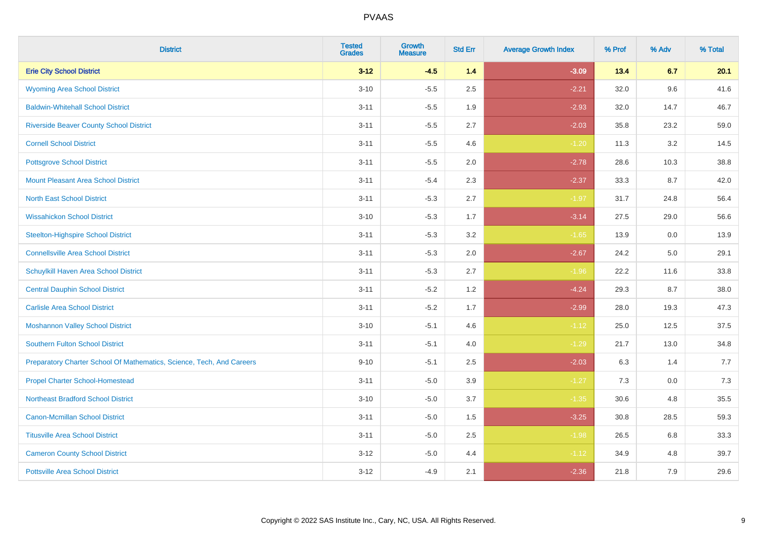| <b>District</b>                                                       | <b>Tested</b><br><b>Grades</b> | Growth<br><b>Measure</b> | <b>Std Err</b> | <b>Average Growth Index</b> | % Prof | % Adv | % Total |
|-----------------------------------------------------------------------|--------------------------------|--------------------------|----------------|-----------------------------|--------|-------|---------|
| <b>Erie City School District</b>                                      | $3 - 12$                       | $-4.5$                   | 1.4            | $-3.09$                     | 13.4   | 6.7   | 20.1    |
| <b>Wyoming Area School District</b>                                   | $3 - 10$                       | $-5.5$                   | 2.5            | $-2.21$                     | 32.0   | 9.6   | 41.6    |
| <b>Baldwin-Whitehall School District</b>                              | $3 - 11$                       | $-5.5$                   | 1.9            | $-2.93$                     | 32.0   | 14.7  | 46.7    |
| <b>Riverside Beaver County School District</b>                        | $3 - 11$                       | $-5.5$                   | 2.7            | $-2.03$                     | 35.8   | 23.2  | 59.0    |
| <b>Cornell School District</b>                                        | $3 - 11$                       | $-5.5$                   | 4.6            | $-1.20$                     | 11.3   | 3.2   | 14.5    |
| <b>Pottsgrove School District</b>                                     | $3 - 11$                       | $-5.5$                   | 2.0            | $-2.78$                     | 28.6   | 10.3  | 38.8    |
| <b>Mount Pleasant Area School District</b>                            | $3 - 11$                       | $-5.4$                   | 2.3            | $-2.37$                     | 33.3   | 8.7   | 42.0    |
| <b>North East School District</b>                                     | $3 - 11$                       | $-5.3$                   | 2.7            | $-1.97$                     | 31.7   | 24.8  | 56.4    |
| <b>Wissahickon School District</b>                                    | $3 - 10$                       | $-5.3$                   | 1.7            | $-3.14$                     | 27.5   | 29.0  | 56.6    |
| <b>Steelton-Highspire School District</b>                             | $3 - 11$                       | $-5.3$                   | 3.2            | $-1.65$                     | 13.9   | 0.0   | 13.9    |
| <b>Connellsville Area School District</b>                             | $3 - 11$                       | $-5.3$                   | 2.0            | $-2.67$                     | 24.2   | 5.0   | 29.1    |
| Schuylkill Haven Area School District                                 | $3 - 11$                       | $-5.3$                   | 2.7            | $-1.96$                     | 22.2   | 11.6  | 33.8    |
| <b>Central Dauphin School District</b>                                | $3 - 11$                       | $-5.2$                   | 1.2            | $-4.24$                     | 29.3   | 8.7   | 38.0    |
| <b>Carlisle Area School District</b>                                  | $3 - 11$                       | $-5.2$                   | 1.7            | $-2.99$                     | 28.0   | 19.3  | 47.3    |
| <b>Moshannon Valley School District</b>                               | $3 - 10$                       | $-5.1$                   | 4.6            | $-1.12$                     | 25.0   | 12.5  | 37.5    |
| <b>Southern Fulton School District</b>                                | $3 - 11$                       | $-5.1$                   | 4.0            | $-1.29$                     | 21.7   | 13.0  | 34.8    |
| Preparatory Charter School Of Mathematics, Science, Tech, And Careers | $9 - 10$                       | $-5.1$                   | 2.5            | $-2.03$                     | 6.3    | 1.4   | 7.7     |
| <b>Propel Charter School-Homestead</b>                                | $3 - 11$                       | $-5.0$                   | 3.9            | $-1.27$                     | 7.3    | 0.0   | 7.3     |
| <b>Northeast Bradford School District</b>                             | $3 - 10$                       | $-5.0$                   | 3.7            | $-1.35$                     | 30.6   | 4.8   | 35.5    |
| <b>Canon-Mcmillan School District</b>                                 | $3 - 11$                       | $-5.0$                   | 1.5            | $-3.25$                     | 30.8   | 28.5  | 59.3    |
| <b>Titusville Area School District</b>                                | $3 - 11$                       | $-5.0$                   | 2.5            | $-1.98$                     | 26.5   | 6.8   | 33.3    |
| <b>Cameron County School District</b>                                 | $3 - 12$                       | $-5.0$                   | 4.4            | $-1.12$                     | 34.9   | 4.8   | 39.7    |
| <b>Pottsville Area School District</b>                                | $3 - 12$                       | $-4.9$                   | 2.1            | $-2.36$                     | 21.8   | 7.9   | 29.6    |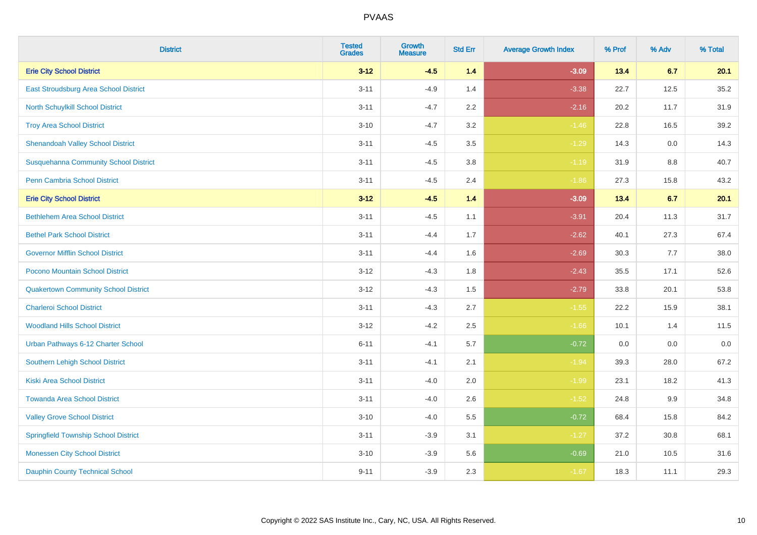| <b>District</b>                              | <b>Tested</b><br><b>Grades</b> | <b>Growth</b><br><b>Measure</b> | <b>Std Err</b> | <b>Average Growth Index</b> | % Prof | % Adv   | % Total |
|----------------------------------------------|--------------------------------|---------------------------------|----------------|-----------------------------|--------|---------|---------|
| <b>Erie City School District</b>             | $3 - 12$                       | $-4.5$                          | 1.4            | $-3.09$                     | 13.4   | 6.7     | 20.1    |
| East Stroudsburg Area School District        | $3 - 11$                       | $-4.9$                          | 1.4            | $-3.38$                     | 22.7   | 12.5    | 35.2    |
| North Schuylkill School District             | $3 - 11$                       | $-4.7$                          | 2.2            | $-2.16$                     | 20.2   | 11.7    | 31.9    |
| <b>Troy Area School District</b>             | $3 - 10$                       | $-4.7$                          | 3.2            | $-1.46$                     | 22.8   | 16.5    | 39.2    |
| <b>Shenandoah Valley School District</b>     | $3 - 11$                       | $-4.5$                          | 3.5            | $-1.29$                     | 14.3   | 0.0     | 14.3    |
| <b>Susquehanna Community School District</b> | $3 - 11$                       | $-4.5$                          | 3.8            | $-1.19$                     | 31.9   | 8.8     | 40.7    |
| Penn Cambria School District                 | $3 - 11$                       | $-4.5$                          | 2.4            | $-1.86$                     | 27.3   | 15.8    | 43.2    |
| <b>Erie City School District</b>             | $3 - 12$                       | $-4.5$                          | 1.4            | $-3.09$                     | 13.4   | 6.7     | 20.1    |
| <b>Bethlehem Area School District</b>        | $3 - 11$                       | $-4.5$                          | 1.1            | $-3.91$                     | 20.4   | 11.3    | 31.7    |
| <b>Bethel Park School District</b>           | $3 - 11$                       | $-4.4$                          | 1.7            | $-2.62$                     | 40.1   | 27.3    | 67.4    |
| <b>Governor Mifflin School District</b>      | $3 - 11$                       | $-4.4$                          | 1.6            | $-2.69$                     | 30.3   | 7.7     | 38.0    |
| Pocono Mountain School District              | $3 - 12$                       | $-4.3$                          | 1.8            | $-2.43$                     | 35.5   | 17.1    | 52.6    |
| <b>Quakertown Community School District</b>  | $3 - 12$                       | $-4.3$                          | $1.5$          | $-2.79$                     | 33.8   | 20.1    | 53.8    |
| <b>Charleroi School District</b>             | $3 - 11$                       | $-4.3$                          | 2.7            | $-1.55$                     | 22.2   | 15.9    | 38.1    |
| <b>Woodland Hills School District</b>        | $3 - 12$                       | $-4.2$                          | 2.5            | $-1.66$                     | 10.1   | 1.4     | 11.5    |
| Urban Pathways 6-12 Charter School           | $6 - 11$                       | $-4.1$                          | 5.7            | $-0.72$                     | 0.0    | $0.0\,$ | $0.0\,$ |
| <b>Southern Lehigh School District</b>       | $3 - 11$                       | $-4.1$                          | 2.1            | $-1.94$                     | 39.3   | 28.0    | 67.2    |
| Kiski Area School District                   | $3 - 11$                       | $-4.0$                          | 2.0            | $-1.99$                     | 23.1   | 18.2    | 41.3    |
| <b>Towanda Area School District</b>          | $3 - 11$                       | $-4.0$                          | 2.6            | $-1.52$                     | 24.8   | 9.9     | 34.8    |
| <b>Valley Grove School District</b>          | $3 - 10$                       | $-4.0$                          | 5.5            | $-0.72$                     | 68.4   | 15.8    | 84.2    |
| <b>Springfield Township School District</b>  | $3 - 11$                       | $-3.9$                          | 3.1            | $-1.27$                     | 37.2   | 30.8    | 68.1    |
| <b>Monessen City School District</b>         | $3 - 10$                       | $-3.9$                          | 5.6            | $-0.69$                     | 21.0   | 10.5    | 31.6    |
| <b>Dauphin County Technical School</b>       | $9 - 11$                       | $-3.9$                          | 2.3            | $-1.67$                     | 18.3   | 11.1    | 29.3    |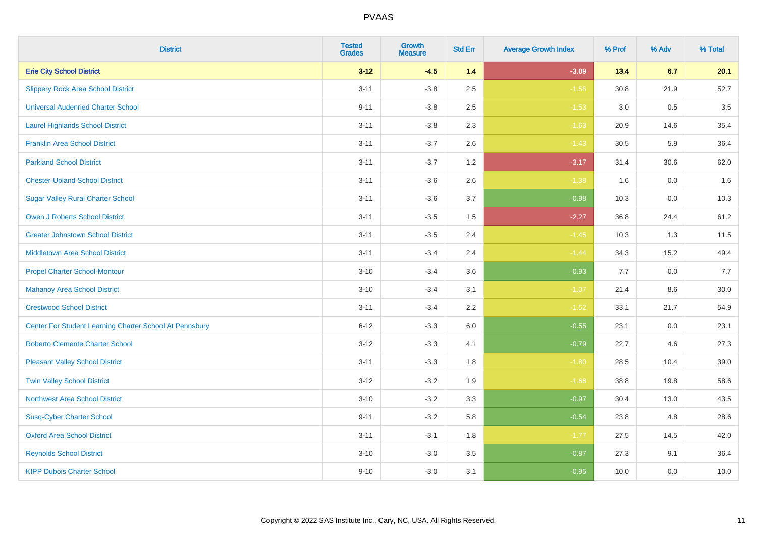| <b>District</b>                                         | <b>Tested</b><br><b>Grades</b> | <b>Growth</b><br><b>Measure</b> | <b>Std Err</b> | <b>Average Growth Index</b> | % Prof | % Adv   | % Total |
|---------------------------------------------------------|--------------------------------|---------------------------------|----------------|-----------------------------|--------|---------|---------|
| <b>Erie City School District</b>                        | $3 - 12$                       | $-4.5$                          | 1.4            | $-3.09$                     | 13.4   | 6.7     | 20.1    |
| <b>Slippery Rock Area School District</b>               | $3 - 11$                       | $-3.8$                          | 2.5            | $-1.56$                     | 30.8   | 21.9    | 52.7    |
| <b>Universal Audenried Charter School</b>               | $9 - 11$                       | $-3.8$                          | 2.5            | $-1.53$                     | 3.0    | 0.5     | 3.5     |
| <b>Laurel Highlands School District</b>                 | $3 - 11$                       | $-3.8$                          | 2.3            | $-1.63$                     | 20.9   | 14.6    | 35.4    |
| <b>Franklin Area School District</b>                    | $3 - 11$                       | $-3.7$                          | 2.6            | $-1.43$                     | 30.5   | 5.9     | 36.4    |
| <b>Parkland School District</b>                         | $3 - 11$                       | $-3.7$                          | 1.2            | $-3.17$                     | 31.4   | 30.6    | 62.0    |
| <b>Chester-Upland School District</b>                   | $3 - 11$                       | $-3.6$                          | 2.6            | $-1.38$                     | 1.6    | $0.0\,$ | 1.6     |
| <b>Sugar Valley Rural Charter School</b>                | $3 - 11$                       | $-3.6$                          | 3.7            | $-0.98$                     | 10.3   | 0.0     | 10.3    |
| <b>Owen J Roberts School District</b>                   | $3 - 11$                       | $-3.5$                          | 1.5            | $-2.27$                     | 36.8   | 24.4    | 61.2    |
| <b>Greater Johnstown School District</b>                | $3 - 11$                       | $-3.5$                          | 2.4            | $-1.45$                     | 10.3   | 1.3     | 11.5    |
| <b>Middletown Area School District</b>                  | $3 - 11$                       | $-3.4$                          | 2.4            | $-1.44$                     | 34.3   | 15.2    | 49.4    |
| <b>Propel Charter School-Montour</b>                    | $3 - 10$                       | $-3.4$                          | 3.6            | $-0.93$                     | 7.7    | 0.0     | 7.7     |
| <b>Mahanoy Area School District</b>                     | $3 - 10$                       | $-3.4$                          | 3.1            | $-1.07$                     | 21.4   | 8.6     | 30.0    |
| <b>Crestwood School District</b>                        | $3 - 11$                       | $-3.4$                          | 2.2            | $-1.52$                     | 33.1   | 21.7    | 54.9    |
| Center For Student Learning Charter School At Pennsbury | $6 - 12$                       | $-3.3$                          | 6.0            | $-0.55$                     | 23.1   | 0.0     | 23.1    |
| <b>Roberto Clemente Charter School</b>                  | $3 - 12$                       | $-3.3$                          | 4.1            | $-0.79$                     | 22.7   | 4.6     | 27.3    |
| <b>Pleasant Valley School District</b>                  | $3 - 11$                       | $-3.3$                          | 1.8            | $-1.80$                     | 28.5   | 10.4    | 39.0    |
| <b>Twin Valley School District</b>                      | $3 - 12$                       | $-3.2$                          | 1.9            | $-1.68$                     | 38.8   | 19.8    | 58.6    |
| <b>Northwest Area School District</b>                   | $3 - 10$                       | $-3.2$                          | 3.3            | $-0.97$                     | 30.4   | 13.0    | 43.5    |
| <b>Susq-Cyber Charter School</b>                        | $9 - 11$                       | $-3.2$                          | 5.8            | $-0.54$                     | 23.8   | 4.8     | 28.6    |
| <b>Oxford Area School District</b>                      | $3 - 11$                       | $-3.1$                          | 1.8            | $-1.77$                     | 27.5   | 14.5    | 42.0    |
| <b>Reynolds School District</b>                         | $3 - 10$                       | $-3.0$                          | 3.5            | $-0.87$                     | 27.3   | 9.1     | 36.4    |
| <b>KIPP Dubois Charter School</b>                       | $9 - 10$                       | $-3.0$                          | 3.1            | $-0.95$                     | 10.0   | 0.0     | 10.0    |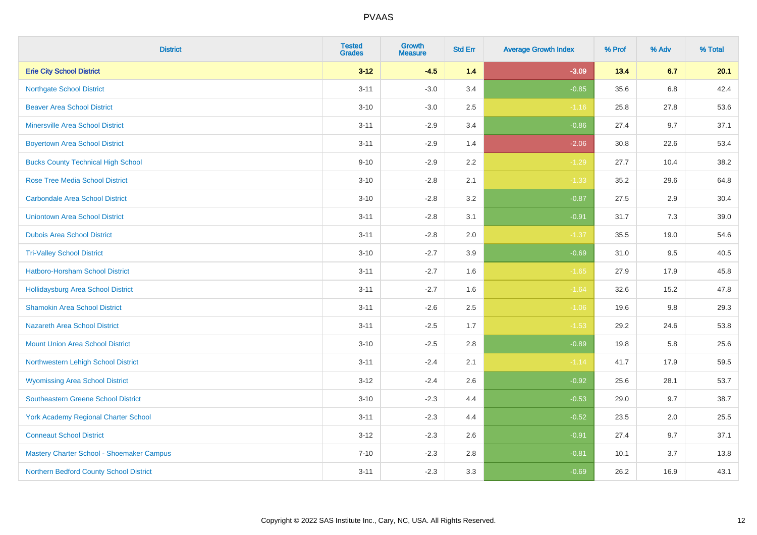| <b>District</b>                             | <b>Tested</b><br><b>Grades</b> | <b>Growth</b><br><b>Measure</b> | <b>Std Err</b> | <b>Average Growth Index</b> | % Prof | % Adv   | % Total |
|---------------------------------------------|--------------------------------|---------------------------------|----------------|-----------------------------|--------|---------|---------|
| <b>Erie City School District</b>            | $3 - 12$                       | $-4.5$                          | 1.4            | $-3.09$                     | 13.4   | 6.7     | 20.1    |
| <b>Northgate School District</b>            | $3 - 11$                       | $-3.0$                          | 3.4            | $-0.85$                     | 35.6   | 6.8     | 42.4    |
| <b>Beaver Area School District</b>          | $3 - 10$                       | $-3.0$                          | 2.5            | $-1.16$                     | 25.8   | 27.8    | 53.6    |
| <b>Minersville Area School District</b>     | $3 - 11$                       | $-2.9$                          | 3.4            | $-0.86$                     | 27.4   | 9.7     | 37.1    |
| <b>Boyertown Area School District</b>       | $3 - 11$                       | $-2.9$                          | 1.4            | $-2.06$                     | 30.8   | 22.6    | 53.4    |
| <b>Bucks County Technical High School</b>   | $9 - 10$                       | $-2.9$                          | 2.2            | $-1.29$                     | 27.7   | 10.4    | 38.2    |
| <b>Rose Tree Media School District</b>      | $3 - 10$                       | $-2.8$                          | 2.1            | $-1.33$                     | 35.2   | 29.6    | 64.8    |
| <b>Carbondale Area School District</b>      | $3 - 10$                       | $-2.8$                          | 3.2            | $-0.87$                     | 27.5   | 2.9     | 30.4    |
| <b>Uniontown Area School District</b>       | $3 - 11$                       | $-2.8$                          | 3.1            | $-0.91$                     | 31.7   | 7.3     | 39.0    |
| <b>Dubois Area School District</b>          | $3 - 11$                       | $-2.8$                          | 2.0            | $-1.37$                     | 35.5   | 19.0    | 54.6    |
| <b>Tri-Valley School District</b>           | $3 - 10$                       | $-2.7$                          | 3.9            | $-0.69$                     | 31.0   | 9.5     | 40.5    |
| Hatboro-Horsham School District             | $3 - 11$                       | $-2.7$                          | 1.6            | $-1.65$                     | 27.9   | 17.9    | 45.8    |
| Hollidaysburg Area School District          | $3 - 11$                       | $-2.7$                          | 1.6            | $-1.64$                     | 32.6   | 15.2    | 47.8    |
| <b>Shamokin Area School District</b>        | $3 - 11$                       | $-2.6$                          | 2.5            | $-1.06$                     | 19.6   | $9.8\,$ | 29.3    |
| <b>Nazareth Area School District</b>        | $3 - 11$                       | $-2.5$                          | 1.7            | $-1.53$                     | 29.2   | 24.6    | 53.8    |
| <b>Mount Union Area School District</b>     | $3 - 10$                       | $-2.5$                          | 2.8            | $-0.89$                     | 19.8   | 5.8     | 25.6    |
| Northwestern Lehigh School District         | $3 - 11$                       | $-2.4$                          | 2.1            | $-1.14$                     | 41.7   | 17.9    | 59.5    |
| <b>Wyomissing Area School District</b>      | $3-12$                         | $-2.4$                          | 2.6            | $-0.92$                     | 25.6   | 28.1    | 53.7    |
| <b>Southeastern Greene School District</b>  | $3 - 10$                       | $-2.3$                          | 4.4            | $-0.53$                     | 29.0   | 9.7     | 38.7    |
| <b>York Academy Regional Charter School</b> | $3 - 11$                       | $-2.3$                          | 4.4            | $-0.52$                     | 23.5   | 2.0     | 25.5    |
| <b>Conneaut School District</b>             | $3 - 12$                       | $-2.3$                          | 2.6            | $-0.91$                     | 27.4   | 9.7     | 37.1    |
| Mastery Charter School - Shoemaker Campus   | $7 - 10$                       | $-2.3$                          | 2.8            | $-0.81$                     | 10.1   | 3.7     | 13.8    |
| Northern Bedford County School District     | $3 - 11$                       | $-2.3$                          | 3.3            | $-0.69$                     | 26.2   | 16.9    | 43.1    |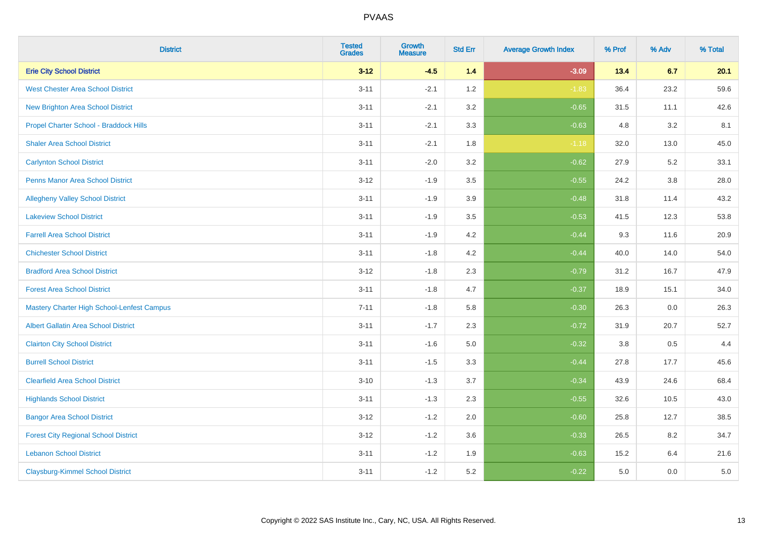| <b>District</b>                                   | <b>Tested</b><br><b>Grades</b> | <b>Growth</b><br><b>Measure</b> | <b>Std Err</b> | <b>Average Growth Index</b> | % Prof | % Adv   | % Total |
|---------------------------------------------------|--------------------------------|---------------------------------|----------------|-----------------------------|--------|---------|---------|
| <b>Erie City School District</b>                  | $3 - 12$                       | $-4.5$                          | 1.4            | $-3.09$                     | 13.4   | 6.7     | 20.1    |
| <b>West Chester Area School District</b>          | $3 - 11$                       | $-2.1$                          | 1.2            | $-1.83$                     | 36.4   | 23.2    | 59.6    |
| <b>New Brighton Area School District</b>          | $3 - 11$                       | $-2.1$                          | 3.2            | $-0.65$                     | 31.5   | 11.1    | 42.6    |
| Propel Charter School - Braddock Hills            | $3 - 11$                       | $-2.1$                          | 3.3            | $-0.63$                     | 4.8    | $3.2\,$ | 8.1     |
| <b>Shaler Area School District</b>                | $3 - 11$                       | $-2.1$                          | 1.8            | $-1.18$                     | 32.0   | 13.0    | 45.0    |
| <b>Carlynton School District</b>                  | $3 - 11$                       | $-2.0$                          | 3.2            | $-0.62$                     | 27.9   | 5.2     | 33.1    |
| Penns Manor Area School District                  | $3 - 12$                       | $-1.9$                          | 3.5            | $-0.55$                     | 24.2   | $3.8\,$ | 28.0    |
| <b>Allegheny Valley School District</b>           | $3 - 11$                       | $-1.9$                          | 3.9            | $-0.48$                     | 31.8   | 11.4    | 43.2    |
| <b>Lakeview School District</b>                   | $3 - 11$                       | $-1.9$                          | 3.5            | $-0.53$                     | 41.5   | 12.3    | 53.8    |
| <b>Farrell Area School District</b>               | $3 - 11$                       | $-1.9$                          | 4.2            | $-0.44$                     | 9.3    | 11.6    | 20.9    |
| <b>Chichester School District</b>                 | $3 - 11$                       | $-1.8$                          | 4.2            | $-0.44$                     | 40.0   | 14.0    | 54.0    |
| <b>Bradford Area School District</b>              | $3 - 12$                       | $-1.8$                          | 2.3            | $-0.79$                     | 31.2   | 16.7    | 47.9    |
| <b>Forest Area School District</b>                | $3 - 11$                       | $-1.8$                          | 4.7            | $-0.37$                     | 18.9   | 15.1    | 34.0    |
| <b>Mastery Charter High School-Lenfest Campus</b> | $7 - 11$                       | $-1.8$                          | 5.8            | $-0.30$                     | 26.3   | 0.0     | 26.3    |
| <b>Albert Gallatin Area School District</b>       | $3 - 11$                       | $-1.7$                          | 2.3            | $-0.72$                     | 31.9   | 20.7    | 52.7    |
| <b>Clairton City School District</b>              | $3 - 11$                       | $-1.6$                          | 5.0            | $-0.32$                     | 3.8    | 0.5     | 4.4     |
| <b>Burrell School District</b>                    | $3 - 11$                       | $-1.5$                          | 3.3            | $-0.44$                     | 27.8   | 17.7    | 45.6    |
| <b>Clearfield Area School District</b>            | $3 - 10$                       | $-1.3$                          | 3.7            | $-0.34$                     | 43.9   | 24.6    | 68.4    |
| <b>Highlands School District</b>                  | $3 - 11$                       | $-1.3$                          | 2.3            | $-0.55$                     | 32.6   | 10.5    | 43.0    |
| <b>Bangor Area School District</b>                | $3 - 12$                       | $-1.2$                          | 2.0            | $-0.60$                     | 25.8   | 12.7    | 38.5    |
| <b>Forest City Regional School District</b>       | $3 - 12$                       | $-1.2$                          | 3.6            | $-0.33$                     | 26.5   | 8.2     | 34.7    |
| <b>Lebanon School District</b>                    | $3 - 11$                       | $-1.2$                          | 1.9            | $-0.63$                     | 15.2   | 6.4     | 21.6    |
| <b>Claysburg-Kimmel School District</b>           | $3 - 11$                       | $-1.2$                          | 5.2            | $-0.22$                     | 5.0    | 0.0     | $5.0\,$ |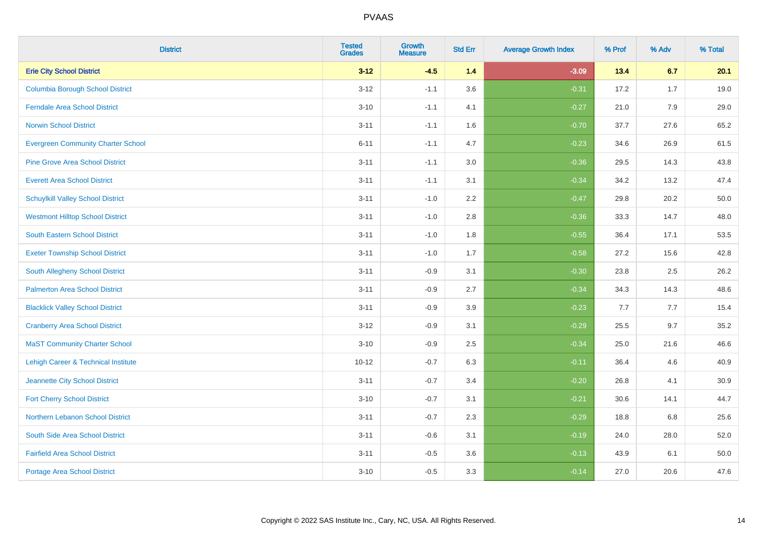| <b>District</b>                                | <b>Tested</b><br><b>Grades</b> | Growth<br><b>Measure</b> | <b>Std Err</b> | <b>Average Growth Index</b> | % Prof | % Adv | % Total |
|------------------------------------------------|--------------------------------|--------------------------|----------------|-----------------------------|--------|-------|---------|
| <b>Erie City School District</b>               | $3 - 12$                       | $-4.5$                   | 1.4            | $-3.09$                     | 13.4   | 6.7   | 20.1    |
| <b>Columbia Borough School District</b>        | $3 - 12$                       | $-1.1$                   | 3.6            | $-0.31$                     | 17.2   | 1.7   | 19.0    |
| <b>Ferndale Area School District</b>           | $3 - 10$                       | $-1.1$                   | 4.1            | $-0.27$                     | 21.0   | 7.9   | 29.0    |
| <b>Norwin School District</b>                  | $3 - 11$                       | $-1.1$                   | 1.6            | $-0.70$                     | 37.7   | 27.6  | 65.2    |
| <b>Evergreen Community Charter School</b>      | $6 - 11$                       | $-1.1$                   | 4.7            | $-0.23$                     | 34.6   | 26.9  | 61.5    |
| <b>Pine Grove Area School District</b>         | $3 - 11$                       | $-1.1$                   | 3.0            | $-0.36$                     | 29.5   | 14.3  | 43.8    |
| <b>Everett Area School District</b>            | $3 - 11$                       | $-1.1$                   | 3.1            | $-0.34$                     | 34.2   | 13.2  | 47.4    |
| <b>Schuylkill Valley School District</b>       | $3 - 11$                       | $-1.0$                   | 2.2            | $-0.47$                     | 29.8   | 20.2  | 50.0    |
| <b>Westmont Hilltop School District</b>        | $3 - 11$                       | $-1.0$                   | 2.8            | $-0.36$                     | 33.3   | 14.7  | 48.0    |
| <b>South Eastern School District</b>           | $3 - 11$                       | $-1.0$                   | 1.8            | $-0.55$                     | 36.4   | 17.1  | 53.5    |
| <b>Exeter Township School District</b>         | $3 - 11$                       | $-1.0$                   | 1.7            | $-0.58$                     | 27.2   | 15.6  | 42.8    |
| South Allegheny School District                | $3 - 11$                       | $-0.9$                   | 3.1            | $-0.30$                     | 23.8   | 2.5   | 26.2    |
| <b>Palmerton Area School District</b>          | $3 - 11$                       | $-0.9$                   | 2.7            | $-0.34$                     | 34.3   | 14.3  | 48.6    |
| <b>Blacklick Valley School District</b>        | $3 - 11$                       | $-0.9$                   | 3.9            | $-0.23$                     | 7.7    | 7.7   | 15.4    |
| <b>Cranberry Area School District</b>          | $3 - 12$                       | $-0.9$                   | 3.1            | $-0.29$                     | 25.5   | 9.7   | 35.2    |
| <b>MaST Community Charter School</b>           | $3 - 10$                       | $-0.9$                   | 2.5            | $-0.34$                     | 25.0   | 21.6  | 46.6    |
| <b>Lehigh Career &amp; Technical Institute</b> | $10 - 12$                      | $-0.7$                   | 6.3            | $-0.11$                     | 36.4   | 4.6   | 40.9    |
| Jeannette City School District                 | $3 - 11$                       | $-0.7$                   | 3.4            | $-0.20$                     | 26.8   | 4.1   | 30.9    |
| <b>Fort Cherry School District</b>             | $3 - 10$                       | $-0.7$                   | 3.1            | $-0.21$                     | 30.6   | 14.1  | 44.7    |
| Northern Lebanon School District               | $3 - 11$                       | $-0.7$                   | 2.3            | $-0.29$                     | 18.8   | 6.8   | 25.6    |
| South Side Area School District                | $3 - 11$                       | $-0.6$                   | 3.1            | $-0.19$                     | 24.0   | 28.0  | 52.0    |
| <b>Fairfield Area School District</b>          | $3 - 11$                       | $-0.5$                   | 3.6            | $-0.13$                     | 43.9   | 6.1   | 50.0    |
| <b>Portage Area School District</b>            | $3 - 10$                       | $-0.5$                   | 3.3            | $-0.14$                     | 27.0   | 20.6  | 47.6    |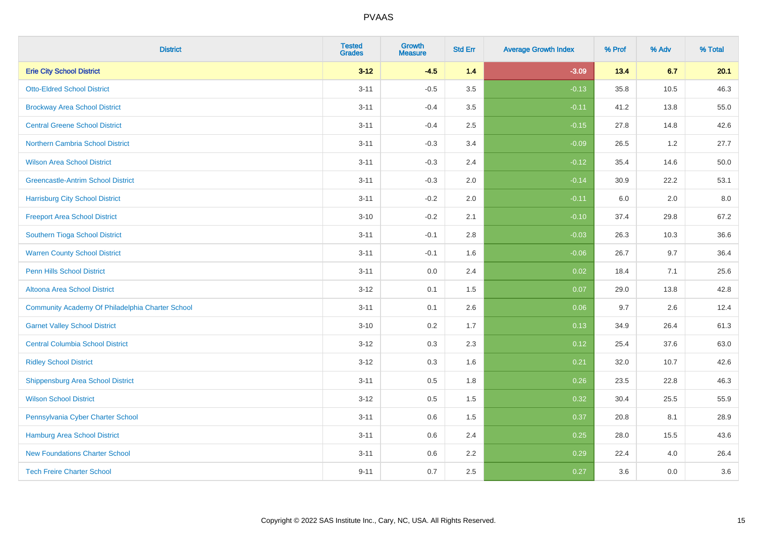| <b>District</b>                                  | <b>Tested</b><br><b>Grades</b> | Growth<br><b>Measure</b> | <b>Std Err</b> | <b>Average Growth Index</b> | % Prof | % Adv | % Total |
|--------------------------------------------------|--------------------------------|--------------------------|----------------|-----------------------------|--------|-------|---------|
| <b>Erie City School District</b>                 | $3 - 12$                       | $-4.5$                   | $1.4$          | $-3.09$                     | 13.4   | 6.7   | 20.1    |
| <b>Otto-Eldred School District</b>               | $3 - 11$                       | $-0.5$                   | 3.5            | $-0.13$                     | 35.8   | 10.5  | 46.3    |
| <b>Brockway Area School District</b>             | $3 - 11$                       | $-0.4$                   | 3.5            | $-0.11$                     | 41.2   | 13.8  | 55.0    |
| <b>Central Greene School District</b>            | $3 - 11$                       | $-0.4$                   | 2.5            | $-0.15$                     | 27.8   | 14.8  | 42.6    |
| Northern Cambria School District                 | $3 - 11$                       | $-0.3$                   | 3.4            | $-0.09$                     | 26.5   | 1.2   | 27.7    |
| <b>Wilson Area School District</b>               | $3 - 11$                       | $-0.3$                   | 2.4            | $-0.12$                     | 35.4   | 14.6  | 50.0    |
| <b>Greencastle-Antrim School District</b>        | $3 - 11$                       | $-0.3$                   | 2.0            | $-0.14$                     | 30.9   | 22.2  | 53.1    |
| <b>Harrisburg City School District</b>           | $3 - 11$                       | $-0.2$                   | 2.0            | $-0.11$                     | 6.0    | 2.0   | 8.0     |
| <b>Freeport Area School District</b>             | $3 - 10$                       | $-0.2$                   | 2.1            | $-0.10$                     | 37.4   | 29.8  | 67.2    |
| Southern Tioga School District                   | $3 - 11$                       | $-0.1$                   | 2.8            | $-0.03$                     | 26.3   | 10.3  | 36.6    |
| <b>Warren County School District</b>             | $3 - 11$                       | $-0.1$                   | 1.6            | $-0.06$                     | 26.7   | 9.7   | 36.4    |
| <b>Penn Hills School District</b>                | $3 - 11$                       | 0.0                      | 2.4            | 0.02                        | 18.4   | 7.1   | 25.6    |
| <b>Altoona Area School District</b>              | $3 - 12$                       | 0.1                      | 1.5            | 0.07                        | 29.0   | 13.8  | 42.8    |
| Community Academy Of Philadelphia Charter School | $3 - 11$                       | 0.1                      | 2.6            | 0.06                        | 9.7    | 2.6   | 12.4    |
| <b>Garnet Valley School District</b>             | $3 - 10$                       | 0.2                      | 1.7            | 0.13                        | 34.9   | 26.4  | 61.3    |
| <b>Central Columbia School District</b>          | $3 - 12$                       | 0.3                      | 2.3            | 0.12                        | 25.4   | 37.6  | 63.0    |
| <b>Ridley School District</b>                    | $3 - 12$                       | 0.3                      | 1.6            | 0.21                        | 32.0   | 10.7  | 42.6    |
| <b>Shippensburg Area School District</b>         | $3 - 11$                       | 0.5                      | 1.8            | 0.26                        | 23.5   | 22.8  | 46.3    |
| <b>Wilson School District</b>                    | $3 - 12$                       | 0.5                      | 1.5            | 0.32                        | 30.4   | 25.5  | 55.9    |
| Pennsylvania Cyber Charter School                | $3 - 11$                       | 0.6                      | 1.5            | 0.37                        | 20.8   | 8.1   | 28.9    |
| Hamburg Area School District                     | $3 - 11$                       | 0.6                      | 2.4            | 0.25                        | 28.0   | 15.5  | 43.6    |
| <b>New Foundations Charter School</b>            | $3 - 11$                       | 0.6                      | 2.2            | 0.29                        | 22.4   | 4.0   | 26.4    |
| <b>Tech Freire Charter School</b>                | $9 - 11$                       | 0.7                      | 2.5            | 0.27                        | 3.6    | 0.0   | 3.6     |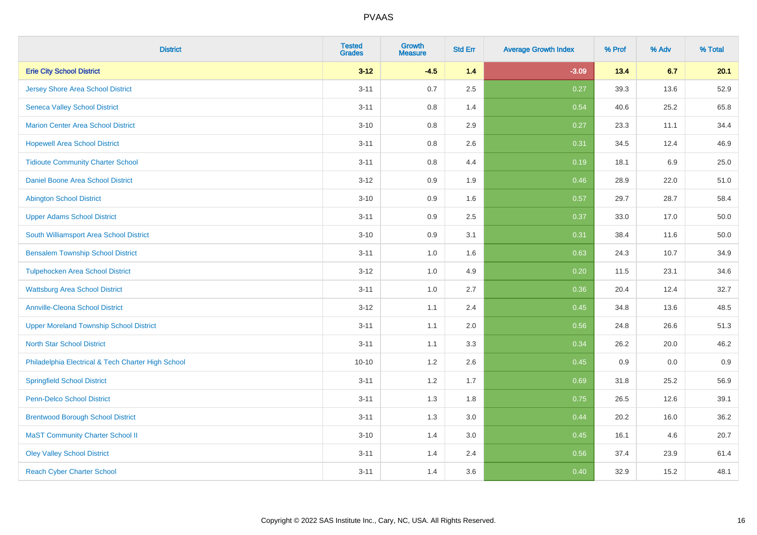| <b>District</b>                                    | <b>Tested</b><br><b>Grades</b> | <b>Growth</b><br><b>Measure</b> | <b>Std Err</b> | <b>Average Growth Index</b> | % Prof | % Adv   | % Total  |
|----------------------------------------------------|--------------------------------|---------------------------------|----------------|-----------------------------|--------|---------|----------|
| <b>Erie City School District</b>                   | $3 - 12$                       | $-4.5$                          | 1.4            | $-3.09$                     | 13.4   | 6.7     | 20.1     |
| <b>Jersey Shore Area School District</b>           | $3 - 11$                       | 0.7                             | 2.5            | 0.27                        | 39.3   | 13.6    | 52.9     |
| <b>Seneca Valley School District</b>               | $3 - 11$                       | 0.8                             | 1.4            | 0.54                        | 40.6   | 25.2    | 65.8     |
| <b>Marion Center Area School District</b>          | $3 - 10$                       | 0.8                             | 2.9            | 0.27                        | 23.3   | 11.1    | 34.4     |
| <b>Hopewell Area School District</b>               | $3 - 11$                       | 0.8                             | 2.6            | 0.31                        | 34.5   | 12.4    | 46.9     |
| <b>Tidioute Community Charter School</b>           | $3 - 11$                       | 0.8                             | 4.4            | 0.19                        | 18.1   | $6.9\,$ | 25.0     |
| Daniel Boone Area School District                  | $3 - 12$                       | 0.9                             | 1.9            | 0.46                        | 28.9   | 22.0    | 51.0     |
| <b>Abington School District</b>                    | $3 - 10$                       | 0.9                             | 1.6            | 0.57                        | 29.7   | 28.7    | 58.4     |
| <b>Upper Adams School District</b>                 | $3 - 11$                       | 0.9                             | 2.5            | 0.37                        | 33.0   | 17.0    | 50.0     |
| South Williamsport Area School District            | $3 - 10$                       | 0.9                             | 3.1            | 0.31                        | 38.4   | 11.6    | $50.0\,$ |
| <b>Bensalem Township School District</b>           | $3 - 11$                       | 1.0                             | 1.6            | 0.63                        | 24.3   | 10.7    | 34.9     |
| <b>Tulpehocken Area School District</b>            | $3 - 12$                       | 1.0                             | 4.9            | 0.20                        | 11.5   | 23.1    | 34.6     |
| <b>Wattsburg Area School District</b>              | $3 - 11$                       | 1.0                             | 2.7            | 0.36                        | 20.4   | 12.4    | 32.7     |
| <b>Annville-Cleona School District</b>             | $3 - 12$                       | 1.1                             | 2.4            | 0.45                        | 34.8   | 13.6    | 48.5     |
| <b>Upper Moreland Township School District</b>     | $3 - 11$                       | 1.1                             | 2.0            | 0.56                        | 24.8   | 26.6    | 51.3     |
| <b>North Star School District</b>                  | $3 - 11$                       | 1.1                             | 3.3            | 0.34                        | 26.2   | 20.0    | 46.2     |
| Philadelphia Electrical & Tech Charter High School | $10 - 10$                      | 1.2                             | 2.6            | 0.45                        | 0.9    | 0.0     | 0.9      |
| <b>Springfield School District</b>                 | $3 - 11$                       | 1.2                             | 1.7            | 0.69                        | 31.8   | 25.2    | 56.9     |
| <b>Penn-Delco School District</b>                  | $3 - 11$                       | 1.3                             | 1.8            | 0.75                        | 26.5   | 12.6    | 39.1     |
| <b>Brentwood Borough School District</b>           | $3 - 11$                       | 1.3                             | 3.0            | 0.44                        | 20.2   | 16.0    | 36.2     |
| <b>MaST Community Charter School II</b>            | $3 - 10$                       | 1.4                             | 3.0            | 0.45                        | 16.1   | 4.6     | 20.7     |
| <b>Oley Valley School District</b>                 | $3 - 11$                       | 1.4                             | 2.4            | 0.56                        | 37.4   | 23.9    | 61.4     |
| <b>Reach Cyber Charter School</b>                  | $3 - 11$                       | 1.4                             | 3.6            | 0.40                        | 32.9   | 15.2    | 48.1     |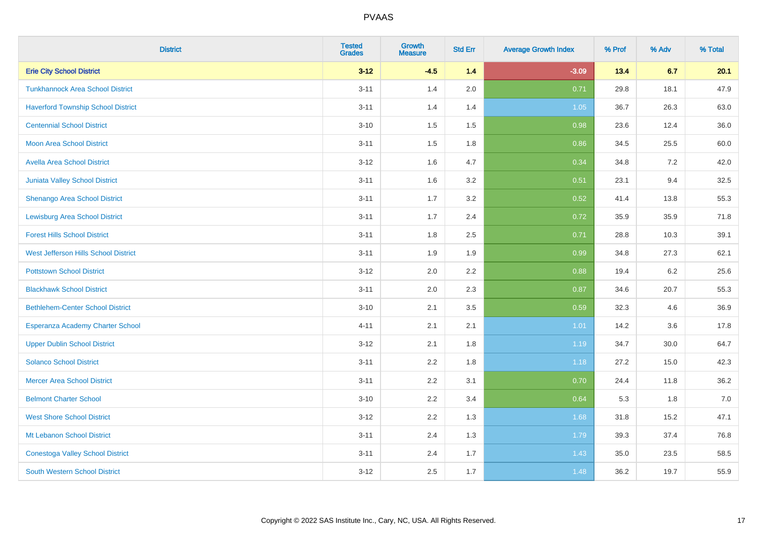| <b>District</b>                           | <b>Tested</b><br><b>Grades</b> | Growth<br><b>Measure</b> | <b>Std Err</b> | <b>Average Growth Index</b> | % Prof | % Adv | % Total |
|-------------------------------------------|--------------------------------|--------------------------|----------------|-----------------------------|--------|-------|---------|
| <b>Erie City School District</b>          | $3 - 12$                       | $-4.5$                   | 1.4            | $-3.09$                     | 13.4   | 6.7   | 20.1    |
| <b>Tunkhannock Area School District</b>   | $3 - 11$                       | 1.4                      | 2.0            | 0.71                        | 29.8   | 18.1  | 47.9    |
| <b>Haverford Township School District</b> | $3 - 11$                       | 1.4                      | 1.4            | 1.05                        | 36.7   | 26.3  | 63.0    |
| <b>Centennial School District</b>         | $3 - 10$                       | 1.5                      | 1.5            | 0.98                        | 23.6   | 12.4  | 36.0    |
| <b>Moon Area School District</b>          | $3 - 11$                       | 1.5                      | 1.8            | 0.86                        | 34.5   | 25.5  | 60.0    |
| <b>Avella Area School District</b>        | $3 - 12$                       | 1.6                      | 4.7            | 0.34                        | 34.8   | 7.2   | 42.0    |
| Juniata Valley School District            | $3 - 11$                       | 1.6                      | 3.2            | 0.51                        | 23.1   | 9.4   | 32.5    |
| Shenango Area School District             | $3 - 11$                       | 1.7                      | 3.2            | 0.52                        | 41.4   | 13.8  | 55.3    |
| <b>Lewisburg Area School District</b>     | $3 - 11$                       | 1.7                      | 2.4            | 0.72                        | 35.9   | 35.9  | 71.8    |
| <b>Forest Hills School District</b>       | $3 - 11$                       | 1.8                      | $2.5\,$        | 0.71                        | 28.8   | 10.3  | 39.1    |
| West Jefferson Hills School District      | $3 - 11$                       | 1.9                      | 1.9            | 0.99                        | 34.8   | 27.3  | 62.1    |
| <b>Pottstown School District</b>          | $3 - 12$                       | 2.0                      | 2.2            | 0.88                        | 19.4   | 6.2   | 25.6    |
| <b>Blackhawk School District</b>          | $3 - 11$                       | 2.0                      | 2.3            | 0.87                        | 34.6   | 20.7  | 55.3    |
| <b>Bethlehem-Center School District</b>   | $3 - 10$                       | 2.1                      | 3.5            | 0.59                        | 32.3   | 4.6   | 36.9    |
| Esperanza Academy Charter School          | $4 - 11$                       | 2.1                      | 2.1            | 1.01                        | 14.2   | 3.6   | 17.8    |
| <b>Upper Dublin School District</b>       | $3 - 12$                       | 2.1                      | 1.8            | 1.19                        | 34.7   | 30.0  | 64.7    |
| <b>Solanco School District</b>            | $3 - 11$                       | 2.2                      | 1.8            | 1.18                        | 27.2   | 15.0  | 42.3    |
| <b>Mercer Area School District</b>        | $3 - 11$                       | 2.2                      | 3.1            | 0.70                        | 24.4   | 11.8  | 36.2    |
| <b>Belmont Charter School</b>             | $3 - 10$                       | 2.2                      | 3.4            | 0.64                        | 5.3    | 1.8   | 7.0     |
| <b>West Shore School District</b>         | $3 - 12$                       | 2.2                      | 1.3            | 1.68                        | 31.8   | 15.2  | 47.1    |
| Mt Lebanon School District                | $3 - 11$                       | 2.4                      | 1.3            | 1.79                        | 39.3   | 37.4  | 76.8    |
| <b>Conestoga Valley School District</b>   | $3 - 11$                       | 2.4                      | 1.7            | 1.43                        | 35.0   | 23.5  | 58.5    |
| <b>South Western School District</b>      | $3 - 12$                       | 2.5                      | 1.7            | 1.48                        | 36.2   | 19.7  | 55.9    |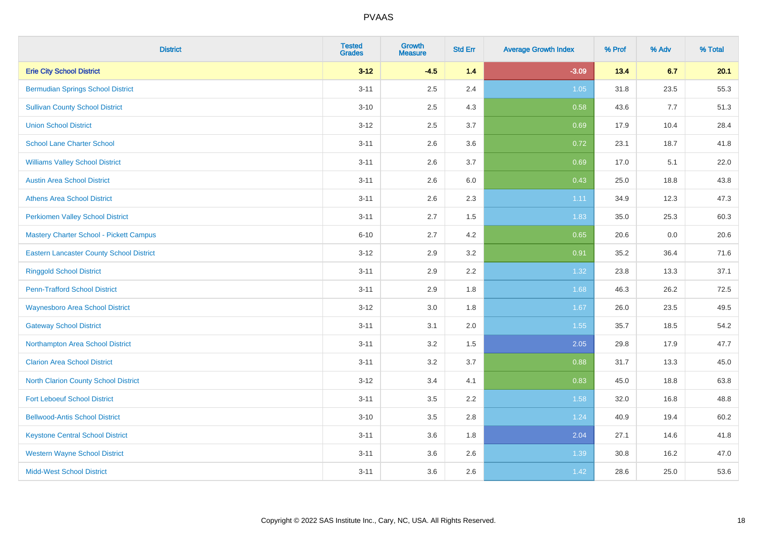| <b>District</b>                                 | <b>Tested</b><br><b>Grades</b> | <b>Growth</b><br><b>Measure</b> | <b>Std Err</b> | <b>Average Growth Index</b> | % Prof | % Adv | % Total |
|-------------------------------------------------|--------------------------------|---------------------------------|----------------|-----------------------------|--------|-------|---------|
| <b>Erie City School District</b>                | $3 - 12$                       | $-4.5$                          | 1.4            | $-3.09$                     | 13.4   | 6.7   | 20.1    |
| <b>Bermudian Springs School District</b>        | $3 - 11$                       | 2.5                             | 2.4            | 1.05                        | 31.8   | 23.5  | 55.3    |
| <b>Sullivan County School District</b>          | $3 - 10$                       | 2.5                             | 4.3            | 0.58                        | 43.6   | 7.7   | 51.3    |
| <b>Union School District</b>                    | $3 - 12$                       | 2.5                             | 3.7            | 0.69                        | 17.9   | 10.4  | 28.4    |
| <b>School Lane Charter School</b>               | $3 - 11$                       | 2.6                             | 3.6            | 0.72                        | 23.1   | 18.7  | 41.8    |
| <b>Williams Valley School District</b>          | $3 - 11$                       | 2.6                             | 3.7            | 0.69                        | 17.0   | 5.1   | 22.0    |
| <b>Austin Area School District</b>              | $3 - 11$                       | 2.6                             | 6.0            | 0.43                        | 25.0   | 18.8  | 43.8    |
| <b>Athens Area School District</b>              | $3 - 11$                       | 2.6                             | 2.3            | 1.11                        | 34.9   | 12.3  | 47.3    |
| <b>Perkiomen Valley School District</b>         | $3 - 11$                       | 2.7                             | 1.5            | 1.83                        | 35.0   | 25.3  | 60.3    |
| Mastery Charter School - Pickett Campus         | $6 - 10$                       | 2.7                             | 4.2            | 0.65                        | 20.6   | 0.0   | 20.6    |
| <b>Eastern Lancaster County School District</b> | $3 - 12$                       | 2.9                             | 3.2            | 0.91                        | 35.2   | 36.4  | 71.6    |
| <b>Ringgold School District</b>                 | $3 - 11$                       | 2.9                             | 2.2            | 1.32                        | 23.8   | 13.3  | 37.1    |
| <b>Penn-Trafford School District</b>            | $3 - 11$                       | 2.9                             | 1.8            | 1.68                        | 46.3   | 26.2  | 72.5    |
| <b>Waynesboro Area School District</b>          | $3 - 12$                       | $3.0\,$                         | 1.8            | 1.67                        | 26.0   | 23.5  | 49.5    |
| <b>Gateway School District</b>                  | $3 - 11$                       | 3.1                             | 2.0            | 1.55                        | 35.7   | 18.5  | 54.2    |
| Northampton Area School District                | $3 - 11$                       | 3.2                             | 1.5            | 2.05                        | 29.8   | 17.9  | 47.7    |
| <b>Clarion Area School District</b>             | $3 - 11$                       | $3.2\,$                         | 3.7            | 0.88                        | 31.7   | 13.3  | 45.0    |
| <b>North Clarion County School District</b>     | $3 - 12$                       | 3.4                             | 4.1            | 0.83                        | 45.0   | 18.8  | 63.8    |
| <b>Fort Leboeuf School District</b>             | $3 - 11$                       | 3.5                             | 2.2            | 1.58                        | 32.0   | 16.8  | 48.8    |
| <b>Bellwood-Antis School District</b>           | $3 - 10$                       | 3.5                             | 2.8            | 1.24                        | 40.9   | 19.4  | 60.2    |
| <b>Keystone Central School District</b>         | $3 - 11$                       | 3.6                             | 1.8            | 2.04                        | 27.1   | 14.6  | 41.8    |
| <b>Western Wayne School District</b>            | $3 - 11$                       | 3.6                             | 2.6            | 1.39                        | 30.8   | 16.2  | 47.0    |
| <b>Midd-West School District</b>                | $3 - 11$                       | 3.6                             | 2.6            | 1.42                        | 28.6   | 25.0  | 53.6    |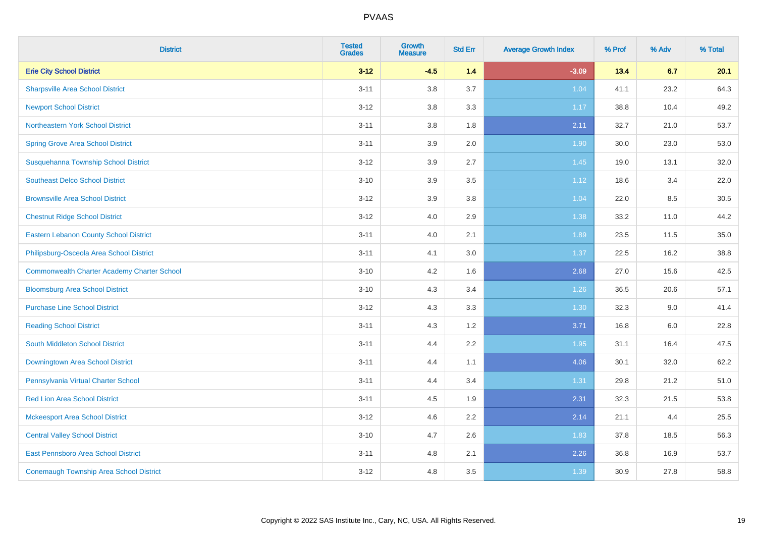| <b>District</b>                                    | <b>Tested</b><br><b>Grades</b> | <b>Growth</b><br><b>Measure</b> | <b>Std Err</b> | <b>Average Growth Index</b> | % Prof | % Adv | % Total |
|----------------------------------------------------|--------------------------------|---------------------------------|----------------|-----------------------------|--------|-------|---------|
| <b>Erie City School District</b>                   | $3 - 12$                       | $-4.5$                          | 1.4            | $-3.09$                     | 13.4   | 6.7   | 20.1    |
| <b>Sharpsville Area School District</b>            | $3 - 11$                       | 3.8                             | 3.7            | 1.04                        | 41.1   | 23.2  | 64.3    |
| <b>Newport School District</b>                     | $3 - 12$                       | 3.8                             | 3.3            | 1.17                        | 38.8   | 10.4  | 49.2    |
| <b>Northeastern York School District</b>           | $3 - 11$                       | $3.8\,$                         | 1.8            | 2.11                        | 32.7   | 21.0  | 53.7    |
| <b>Spring Grove Area School District</b>           | $3 - 11$                       | 3.9                             | 2.0            | 1.90                        | 30.0   | 23.0  | 53.0    |
| Susquehanna Township School District               | $3 - 12$                       | 3.9                             | 2.7            | 1.45                        | 19.0   | 13.1  | 32.0    |
| <b>Southeast Delco School District</b>             | $3 - 10$                       | 3.9                             | 3.5            | 1.12                        | 18.6   | 3.4   | 22.0    |
| <b>Brownsville Area School District</b>            | $3 - 12$                       | 3.9                             | 3.8            | 1.04                        | 22.0   | 8.5   | 30.5    |
| <b>Chestnut Ridge School District</b>              | $3 - 12$                       | 4.0                             | 2.9            | 1.38                        | 33.2   | 11.0  | 44.2    |
| <b>Eastern Lebanon County School District</b>      | $3 - 11$                       | 4.0                             | 2.1            | 1.89                        | 23.5   | 11.5  | 35.0    |
| Philipsburg-Osceola Area School District           | $3 - 11$                       | 4.1                             | 3.0            | 1.37                        | 22.5   | 16.2  | 38.8    |
| <b>Commonwealth Charter Academy Charter School</b> | $3 - 10$                       | 4.2                             | 1.6            | 2.68                        | 27.0   | 15.6  | 42.5    |
| <b>Bloomsburg Area School District</b>             | $3 - 10$                       | 4.3                             | 3.4            | $1.26$                      | 36.5   | 20.6  | 57.1    |
| <b>Purchase Line School District</b>               | $3 - 12$                       | 4.3                             | 3.3            | 1.30                        | 32.3   | 9.0   | 41.4    |
| <b>Reading School District</b>                     | $3 - 11$                       | 4.3                             | 1.2            | 3.71                        | 16.8   | 6.0   | 22.8    |
| South Middleton School District                    | $3 - 11$                       | 4.4                             | 2.2            | 1.95                        | 31.1   | 16.4  | 47.5    |
| Downingtown Area School District                   | $3 - 11$                       | 4.4                             | 1.1            | 4.06                        | 30.1   | 32.0  | 62.2    |
| Pennsylvania Virtual Charter School                | $3 - 11$                       | 4.4                             | 3.4            | 1.31                        | 29.8   | 21.2  | 51.0    |
| <b>Red Lion Area School District</b>               | $3 - 11$                       | 4.5                             | 1.9            | 2.31                        | 32.3   | 21.5  | 53.8    |
| <b>Mckeesport Area School District</b>             | $3 - 12$                       | 4.6                             | 2.2            | 2.14                        | 21.1   | 4.4   | 25.5    |
| <b>Central Valley School District</b>              | $3 - 10$                       | 4.7                             | 2.6            | 1.83                        | 37.8   | 18.5  | 56.3    |
| East Pennsboro Area School District                | $3 - 11$                       | 4.8                             | 2.1            | 2.26                        | 36.8   | 16.9  | 53.7    |
| <b>Conemaugh Township Area School District</b>     | $3 - 12$                       | 4.8                             | 3.5            | 1.39                        | 30.9   | 27.8  | 58.8    |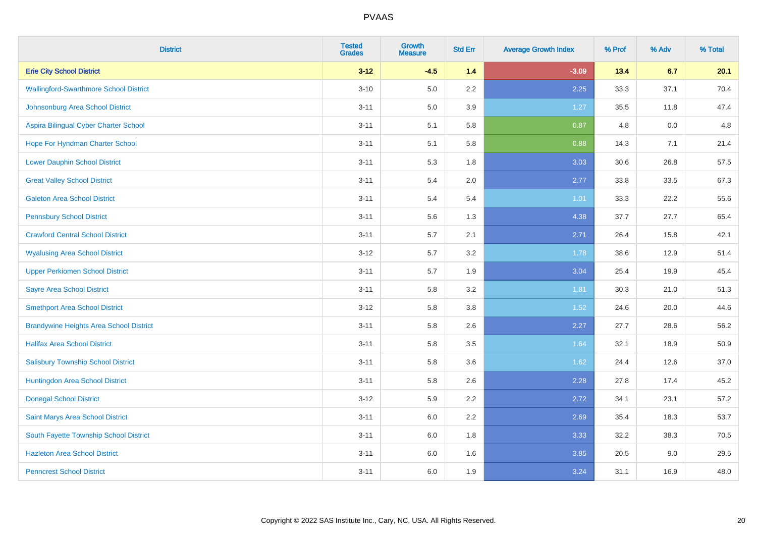| <b>District</b>                                | <b>Tested</b><br><b>Grades</b> | <b>Growth</b><br><b>Measure</b> | <b>Std Err</b> | <b>Average Growth Index</b> | % Prof | % Adv | % Total |
|------------------------------------------------|--------------------------------|---------------------------------|----------------|-----------------------------|--------|-------|---------|
| <b>Erie City School District</b>               | $3 - 12$                       | $-4.5$                          | 1.4            | $-3.09$                     | 13.4   | 6.7   | 20.1    |
| <b>Wallingford-Swarthmore School District</b>  | $3 - 10$                       | 5.0                             | 2.2            | 2.25                        | 33.3   | 37.1  | 70.4    |
| Johnsonburg Area School District               | $3 - 11$                       | 5.0                             | 3.9            | 1.27                        | 35.5   | 11.8  | 47.4    |
| Aspira Bilingual Cyber Charter School          | $3 - 11$                       | 5.1                             | 5.8            | 0.87                        | 4.8    | 0.0   | 4.8     |
| Hope For Hyndman Charter School                | $3 - 11$                       | 5.1                             | 5.8            | 0.88                        | 14.3   | 7.1   | 21.4    |
| <b>Lower Dauphin School District</b>           | $3 - 11$                       | 5.3                             | 1.8            | 3.03                        | 30.6   | 26.8  | 57.5    |
| <b>Great Valley School District</b>            | $3 - 11$                       | 5.4                             | 2.0            | 2.77                        | 33.8   | 33.5  | 67.3    |
| <b>Galeton Area School District</b>            | $3 - 11$                       | 5.4                             | 5.4            | 1.01                        | 33.3   | 22.2  | 55.6    |
| <b>Pennsbury School District</b>               | $3 - 11$                       | 5.6                             | 1.3            | 4.38                        | 37.7   | 27.7  | 65.4    |
| <b>Crawford Central School District</b>        | $3 - 11$                       | 5.7                             | 2.1            | 2.71                        | 26.4   | 15.8  | 42.1    |
| <b>Wyalusing Area School District</b>          | $3-12$                         | 5.7                             | 3.2            | 1.78                        | 38.6   | 12.9  | 51.4    |
| <b>Upper Perkiomen School District</b>         | $3 - 11$                       | 5.7                             | 1.9            | 3.04                        | 25.4   | 19.9  | 45.4    |
| <b>Sayre Area School District</b>              | $3 - 11$                       | 5.8                             | 3.2            | 1.81                        | 30.3   | 21.0  | 51.3    |
| <b>Smethport Area School District</b>          | $3-12$                         | 5.8                             | 3.8            | 1.52                        | 24.6   | 20.0  | 44.6    |
| <b>Brandywine Heights Area School District</b> | $3 - 11$                       | 5.8                             | 2.6            | 2.27                        | 27.7   | 28.6  | 56.2    |
| <b>Halifax Area School District</b>            | $3 - 11$                       | 5.8                             | 3.5            | 1.64                        | 32.1   | 18.9  | 50.9    |
| <b>Salisbury Township School District</b>      | $3 - 11$                       | 5.8                             | 3.6            | 1.62                        | 24.4   | 12.6  | 37.0    |
| Huntingdon Area School District                | $3 - 11$                       | 5.8                             | 2.6            | 2.28                        | 27.8   | 17.4  | 45.2    |
| <b>Donegal School District</b>                 | $3 - 12$                       | 5.9                             | 2.2            | 2.72                        | 34.1   | 23.1  | 57.2    |
| Saint Marys Area School District               | $3 - 11$                       | 6.0                             | 2.2            | 2.69                        | 35.4   | 18.3  | 53.7    |
| South Fayette Township School District         | $3 - 11$                       | 6.0                             | 1.8            | 3.33                        | 32.2   | 38.3  | 70.5    |
| <b>Hazleton Area School District</b>           | $3 - 11$                       | 6.0                             | 1.6            | 3.85                        | 20.5   | 9.0   | 29.5    |
| <b>Penncrest School District</b>               | $3 - 11$                       | 6.0                             | 1.9            | 3.24                        | 31.1   | 16.9  | 48.0    |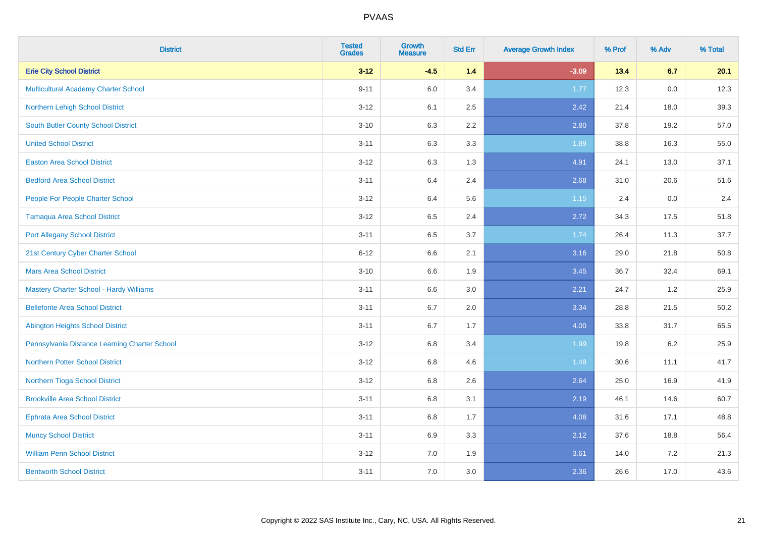| <b>District</b>                                | <b>Tested</b><br><b>Grades</b> | <b>Growth</b><br><b>Measure</b> | <b>Std Err</b> | <b>Average Growth Index</b> | % Prof | % Adv | % Total |
|------------------------------------------------|--------------------------------|---------------------------------|----------------|-----------------------------|--------|-------|---------|
| <b>Erie City School District</b>               | $3 - 12$                       | $-4.5$                          | 1.4            | $-3.09$                     | 13.4   | 6.7   | 20.1    |
| <b>Multicultural Academy Charter School</b>    | $9 - 11$                       | 6.0                             | 3.4            | 1.77                        | 12.3   | 0.0   | 12.3    |
| Northern Lehigh School District                | $3 - 12$                       | 6.1                             | 2.5            | 2.42                        | 21.4   | 18.0  | 39.3    |
| <b>South Butler County School District</b>     | $3 - 10$                       | 6.3                             | 2.2            | 2.80                        | 37.8   | 19.2  | 57.0    |
| <b>United School District</b>                  | $3 - 11$                       | 6.3                             | 3.3            | 1.89                        | 38.8   | 16.3  | 55.0    |
| <b>Easton Area School District</b>             | $3 - 12$                       | 6.3                             | 1.3            | 4.91                        | 24.1   | 13.0  | 37.1    |
| <b>Bedford Area School District</b>            | $3 - 11$                       | 6.4                             | 2.4            | 2.68                        | 31.0   | 20.6  | 51.6    |
| People For People Charter School               | $3 - 12$                       | 6.4                             | 5.6            | 1.15                        | 2.4    | 0.0   | 2.4     |
| <b>Tamaqua Area School District</b>            | $3 - 12$                       | 6.5                             | 2.4            | 2.72                        | 34.3   | 17.5  | 51.8    |
| <b>Port Allegany School District</b>           | $3 - 11$                       | $6.5\,$                         | 3.7            | 1.74                        | 26.4   | 11.3  | 37.7    |
| 21st Century Cyber Charter School              | $6 - 12$                       | 6.6                             | 2.1            | 3.16                        | 29.0   | 21.8  | 50.8    |
| <b>Mars Area School District</b>               | $3 - 10$                       | 6.6                             | 1.9            | 3.45                        | 36.7   | 32.4  | 69.1    |
| <b>Mastery Charter School - Hardy Williams</b> | $3 - 11$                       | 6.6                             | 3.0            | 2.21                        | 24.7   | 1.2   | 25.9    |
| <b>Bellefonte Area School District</b>         | $3 - 11$                       | 6.7                             | 2.0            | 3.34                        | 28.8   | 21.5  | 50.2    |
| <b>Abington Heights School District</b>        | $3 - 11$                       | 6.7                             | 1.7            | 4.00                        | 33.8   | 31.7  | 65.5    |
| Pennsylvania Distance Learning Charter School  | $3 - 12$                       | 6.8                             | 3.4            | 1.99                        | 19.8   | 6.2   | 25.9    |
| <b>Northern Potter School District</b>         | $3 - 12$                       | 6.8                             | 4.6            | 1.48                        | 30.6   | 11.1  | 41.7    |
| Northern Tioga School District                 | $3 - 12$                       | $6.8\,$                         | 2.6            | 2.64                        | 25.0   | 16.9  | 41.9    |
| <b>Brookville Area School District</b>         | $3 - 11$                       | 6.8                             | 3.1            | 2.19                        | 46.1   | 14.6  | 60.7    |
| <b>Ephrata Area School District</b>            | $3 - 11$                       | 6.8                             | 1.7            | 4.08                        | 31.6   | 17.1  | 48.8    |
| <b>Muncy School District</b>                   | $3 - 11$                       | 6.9                             | 3.3            | 2.12                        | 37.6   | 18.8  | 56.4    |
| <b>William Penn School District</b>            | $3 - 12$                       | 7.0                             | 1.9            | 3.61                        | 14.0   | 7.2   | 21.3    |
| <b>Bentworth School District</b>               | $3 - 11$                       | 7.0                             | 3.0            | 2.36                        | 26.6   | 17.0  | 43.6    |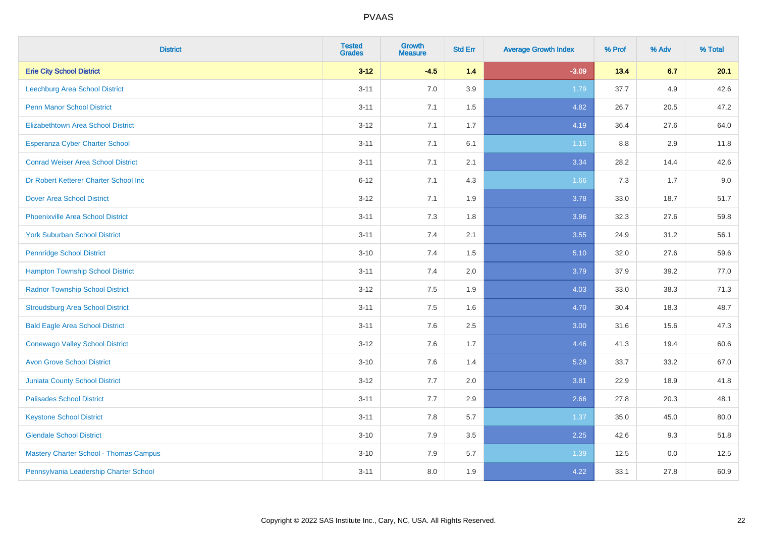| <b>District</b>                               | <b>Tested</b><br><b>Grades</b> | Growth<br><b>Measure</b> | <b>Std Err</b> | <b>Average Growth Index</b> | % Prof | % Adv | % Total |
|-----------------------------------------------|--------------------------------|--------------------------|----------------|-----------------------------|--------|-------|---------|
| <b>Erie City School District</b>              | $3 - 12$                       | $-4.5$                   | $1.4$          | $-3.09$                     | 13.4   | 6.7   | 20.1    |
| <b>Leechburg Area School District</b>         | $3 - 11$                       | 7.0                      | 3.9            | 1.79                        | 37.7   | 4.9   | 42.6    |
| <b>Penn Manor School District</b>             | $3 - 11$                       | 7.1                      | 1.5            | 4.82                        | 26.7   | 20.5  | 47.2    |
| <b>Elizabethtown Area School District</b>     | $3 - 12$                       | 7.1                      | 1.7            | 4.19                        | 36.4   | 27.6  | 64.0    |
| <b>Esperanza Cyber Charter School</b>         | $3 - 11$                       | 7.1                      | 6.1            | $1.15$                      | 8.8    | 2.9   | 11.8    |
| <b>Conrad Weiser Area School District</b>     | $3 - 11$                       | 7.1                      | 2.1            | 3.34                        | 28.2   | 14.4  | 42.6    |
| Dr Robert Ketterer Charter School Inc         | $6 - 12$                       | 7.1                      | 4.3            | 1.66                        | 7.3    | 1.7   | 9.0     |
| <b>Dover Area School District</b>             | $3 - 12$                       | 7.1                      | 1.9            | 3.78                        | 33.0   | 18.7  | 51.7    |
| <b>Phoenixville Area School District</b>      | $3 - 11$                       | 7.3                      | 1.8            | 3.96                        | 32.3   | 27.6  | 59.8    |
| <b>York Suburban School District</b>          | $3 - 11$                       | 7.4                      | 2.1            | 3.55                        | 24.9   | 31.2  | 56.1    |
| <b>Pennridge School District</b>              | $3 - 10$                       | 7.4                      | 1.5            | 5.10                        | 32.0   | 27.6  | 59.6    |
| <b>Hampton Township School District</b>       | $3 - 11$                       | 7.4                      | 2.0            | 3.79                        | 37.9   | 39.2  | 77.0    |
| <b>Radnor Township School District</b>        | $3 - 12$                       | 7.5                      | 1.9            | 4.03                        | 33.0   | 38.3  | 71.3    |
| <b>Stroudsburg Area School District</b>       | $3 - 11$                       | 7.5                      | 1.6            | 4.70                        | 30.4   | 18.3  | 48.7    |
| <b>Bald Eagle Area School District</b>        | $3 - 11$                       | 7.6                      | 2.5            | 3.00                        | 31.6   | 15.6  | 47.3    |
| <b>Conewago Valley School District</b>        | $3 - 12$                       | 7.6                      | 1.7            | 4.46                        | 41.3   | 19.4  | 60.6    |
| <b>Avon Grove School District</b>             | $3 - 10$                       | 7.6                      | 1.4            | 5.29                        | 33.7   | 33.2  | 67.0    |
| <b>Juniata County School District</b>         | $3 - 12$                       | 7.7                      | 2.0            | 3.81                        | 22.9   | 18.9  | 41.8    |
| <b>Palisades School District</b>              | $3 - 11$                       | 7.7                      | 2.9            | 2.66                        | 27.8   | 20.3  | 48.1    |
| <b>Keystone School District</b>               | $3 - 11$                       | 7.8                      | 5.7            | 1.37                        | 35.0   | 45.0  | 80.0    |
| <b>Glendale School District</b>               | $3 - 10$                       | 7.9                      | 3.5            | 2.25                        | 42.6   | 9.3   | 51.8    |
| <b>Mastery Charter School - Thomas Campus</b> | $3 - 10$                       | 7.9                      | 5.7            | 1.39                        | 12.5   | 0.0   | 12.5    |
| Pennsylvania Leadership Charter School        | $3 - 11$                       | 8.0                      | 1.9            | 4.22                        | 33.1   | 27.8  | 60.9    |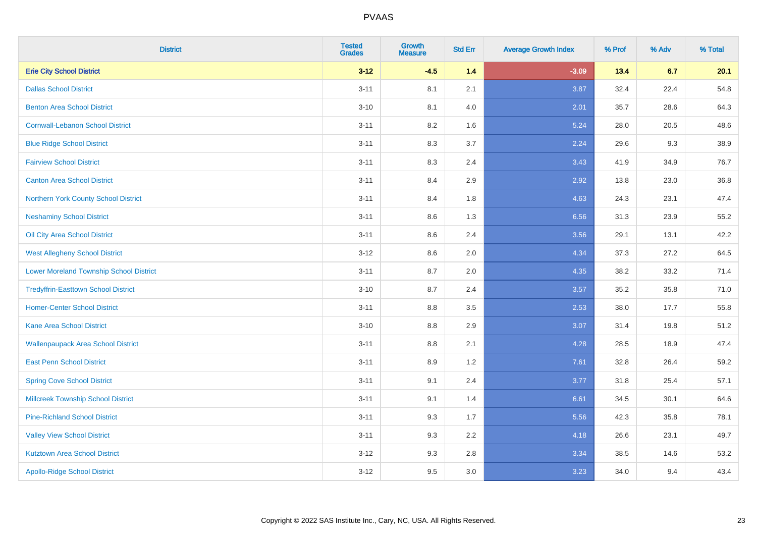| <b>District</b>                                | <b>Tested</b><br><b>Grades</b> | Growth<br><b>Measure</b> | <b>Std Err</b> | <b>Average Growth Index</b> | % Prof | % Adv | % Total |
|------------------------------------------------|--------------------------------|--------------------------|----------------|-----------------------------|--------|-------|---------|
| <b>Erie City School District</b>               | $3 - 12$                       | $-4.5$                   | $1.4$          | $-3.09$                     | 13.4   | 6.7   | 20.1    |
| <b>Dallas School District</b>                  | $3 - 11$                       | 8.1                      | 2.1            | 3.87                        | 32.4   | 22.4  | 54.8    |
| <b>Benton Area School District</b>             | $3 - 10$                       | 8.1                      | 4.0            | 2.01                        | 35.7   | 28.6  | 64.3    |
| <b>Cornwall-Lebanon School District</b>        | $3 - 11$                       | 8.2                      | 1.6            | 5.24                        | 28.0   | 20.5  | 48.6    |
| <b>Blue Ridge School District</b>              | $3 - 11$                       | 8.3                      | 3.7            | 2.24                        | 29.6   | 9.3   | 38.9    |
| <b>Fairview School District</b>                | $3 - 11$                       | 8.3                      | 2.4            | 3.43                        | 41.9   | 34.9  | 76.7    |
| <b>Canton Area School District</b>             | $3 - 11$                       | 8.4                      | 2.9            | 2.92                        | 13.8   | 23.0  | 36.8    |
| Northern York County School District           | $3 - 11$                       | 8.4                      | 1.8            | 4.63                        | 24.3   | 23.1  | 47.4    |
| <b>Neshaminy School District</b>               | $3 - 11$                       | 8.6                      | 1.3            | 6.56                        | 31.3   | 23.9  | 55.2    |
| Oil City Area School District                  | $3 - 11$                       | 8.6                      | 2.4            | 3.56                        | 29.1   | 13.1  | 42.2    |
| <b>West Allegheny School District</b>          | $3 - 12$                       | 8.6                      | 2.0            | 4.34                        | 37.3   | 27.2  | 64.5    |
| <b>Lower Moreland Township School District</b> | $3 - 11$                       | 8.7                      | 2.0            | 4.35                        | 38.2   | 33.2  | 71.4    |
| <b>Tredyffrin-Easttown School District</b>     | $3 - 10$                       | 8.7                      | 2.4            | 3.57                        | 35.2   | 35.8  | 71.0    |
| <b>Homer-Center School District</b>            | $3 - 11$                       | $8.8\,$                  | 3.5            | 2.53                        | 38.0   | 17.7  | 55.8    |
| <b>Kane Area School District</b>               | $3 - 10$                       | 8.8                      | 2.9            | 3.07                        | 31.4   | 19.8  | 51.2    |
| <b>Wallenpaupack Area School District</b>      | $3 - 11$                       | $8.8\,$                  | 2.1            | 4.28                        | 28.5   | 18.9  | 47.4    |
| <b>East Penn School District</b>               | $3 - 11$                       | 8.9                      | 1.2            | 7.61                        | 32.8   | 26.4  | 59.2    |
| <b>Spring Cove School District</b>             | $3 - 11$                       | 9.1                      | 2.4            | 3.77                        | 31.8   | 25.4  | 57.1    |
| <b>Millcreek Township School District</b>      | $3 - 11$                       | 9.1                      | 1.4            | 6.61                        | 34.5   | 30.1  | 64.6    |
| <b>Pine-Richland School District</b>           | $3 - 11$                       | 9.3                      | 1.7            | 5.56                        | 42.3   | 35.8  | 78.1    |
| <b>Valley View School District</b>             | $3 - 11$                       | 9.3                      | 2.2            | 4.18                        | 26.6   | 23.1  | 49.7    |
| <b>Kutztown Area School District</b>           | $3 - 12$                       | 9.3                      | 2.8            | 3.34                        | 38.5   | 14.6  | 53.2    |
| <b>Apollo-Ridge School District</b>            | $3 - 12$                       | 9.5                      | 3.0            | 3.23                        | 34.0   | 9.4   | 43.4    |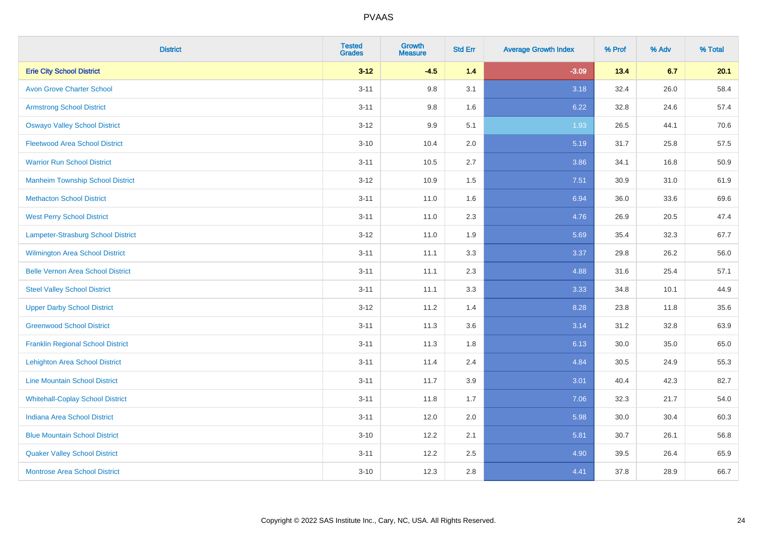| <b>District</b>                          | <b>Tested</b><br><b>Grades</b> | <b>Growth</b><br><b>Measure</b> | <b>Std Err</b> | <b>Average Growth Index</b> | % Prof | % Adv | % Total |
|------------------------------------------|--------------------------------|---------------------------------|----------------|-----------------------------|--------|-------|---------|
| <b>Erie City School District</b>         | $3 - 12$                       | $-4.5$                          | 1.4            | $-3.09$                     | 13.4   | 6.7   | 20.1    |
| <b>Avon Grove Charter School</b>         | $3 - 11$                       | 9.8                             | 3.1            | 3.18                        | 32.4   | 26.0  | 58.4    |
| <b>Armstrong School District</b>         | $3 - 11$                       | 9.8                             | 1.6            | 6.22                        | 32.8   | 24.6  | 57.4    |
| <b>Oswayo Valley School District</b>     | $3 - 12$                       | 9.9                             | 5.1            | 1.93                        | 26.5   | 44.1  | 70.6    |
| <b>Fleetwood Area School District</b>    | $3 - 10$                       | 10.4                            | 2.0            | 5.19                        | 31.7   | 25.8  | 57.5    |
| <b>Warrior Run School District</b>       | $3 - 11$                       | 10.5                            | 2.7            | 3.86                        | 34.1   | 16.8  | 50.9    |
| <b>Manheim Township School District</b>  | $3 - 12$                       | 10.9                            | 1.5            | 7.51                        | 30.9   | 31.0  | 61.9    |
| <b>Methacton School District</b>         | $3 - 11$                       | 11.0                            | 1.6            | 6.94                        | 36.0   | 33.6  | 69.6    |
| <b>West Perry School District</b>        | $3 - 11$                       | 11.0                            | 2.3            | 4.76                        | 26.9   | 20.5  | 47.4    |
| Lampeter-Strasburg School District       | $3 - 12$                       | 11.0                            | 1.9            | 5.69                        | 35.4   | 32.3  | 67.7    |
| Wilmington Area School District          | $3 - 11$                       | 11.1                            | 3.3            | 3.37                        | 29.8   | 26.2  | 56.0    |
| <b>Belle Vernon Area School District</b> | $3 - 11$                       | 11.1                            | 2.3            | 4.88                        | 31.6   | 25.4  | 57.1    |
| <b>Steel Valley School District</b>      | $3 - 11$                       | 11.1                            | 3.3            | 3.33                        | 34.8   | 10.1  | 44.9    |
| <b>Upper Darby School District</b>       | $3 - 12$                       | 11.2                            | 1.4            | 8.28                        | 23.8   | 11.8  | 35.6    |
| <b>Greenwood School District</b>         | $3 - 11$                       | 11.3                            | 3.6            | 3.14                        | 31.2   | 32.8  | 63.9    |
| <b>Franklin Regional School District</b> | $3 - 11$                       | 11.3                            | 1.8            | 6.13                        | 30.0   | 35.0  | 65.0    |
| <b>Lehighton Area School District</b>    | $3 - 11$                       | 11.4                            | 2.4            | 4.84                        | 30.5   | 24.9  | 55.3    |
| <b>Line Mountain School District</b>     | $3 - 11$                       | 11.7                            | 3.9            | 3.01                        | 40.4   | 42.3  | 82.7    |
| <b>Whitehall-Coplay School District</b>  | $3 - 11$                       | 11.8                            | 1.7            | 7.06                        | 32.3   | 21.7  | 54.0    |
| <b>Indiana Area School District</b>      | $3 - 11$                       | 12.0                            | 2.0            | 5.98                        | 30.0   | 30.4  | 60.3    |
| <b>Blue Mountain School District</b>     | $3 - 10$                       | 12.2                            | 2.1            | 5.81                        | 30.7   | 26.1  | 56.8    |
| <b>Quaker Valley School District</b>     | $3 - 11$                       | 12.2                            | 2.5            | 4.90                        | 39.5   | 26.4  | 65.9    |
| <b>Montrose Area School District</b>     | $3 - 10$                       | 12.3                            | 2.8            | 4.41                        | 37.8   | 28.9  | 66.7    |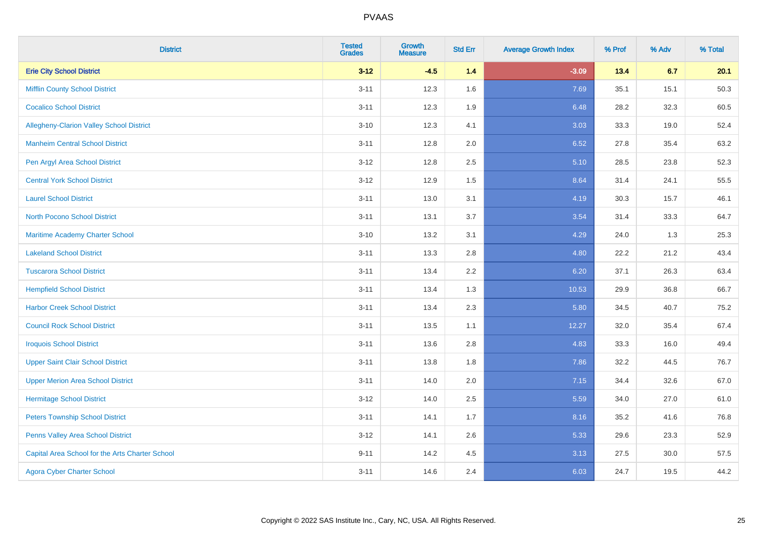| <b>District</b>                                 | <b>Tested</b><br><b>Grades</b> | <b>Growth</b><br><b>Measure</b> | <b>Std Err</b> | <b>Average Growth Index</b> | % Prof | % Adv | % Total |
|-------------------------------------------------|--------------------------------|---------------------------------|----------------|-----------------------------|--------|-------|---------|
| <b>Erie City School District</b>                | $3 - 12$                       | $-4.5$                          | 1.4            | $-3.09$                     | 13.4   | 6.7   | 20.1    |
| <b>Mifflin County School District</b>           | $3 - 11$                       | 12.3                            | 1.6            | 7.69                        | 35.1   | 15.1  | 50.3    |
| <b>Cocalico School District</b>                 | $3 - 11$                       | 12.3                            | 1.9            | 6.48                        | 28.2   | 32.3  | 60.5    |
| Allegheny-Clarion Valley School District        | $3 - 10$                       | 12.3                            | 4.1            | 3.03                        | 33.3   | 19.0  | 52.4    |
| <b>Manheim Central School District</b>          | $3 - 11$                       | 12.8                            | 2.0            | 6.52                        | 27.8   | 35.4  | 63.2    |
| Pen Argyl Area School District                  | $3 - 12$                       | 12.8                            | 2.5            | 5.10                        | 28.5   | 23.8  | 52.3    |
| <b>Central York School District</b>             | $3 - 12$                       | 12.9                            | 1.5            | 8.64                        | 31.4   | 24.1  | 55.5    |
| <b>Laurel School District</b>                   | $3 - 11$                       | 13.0                            | 3.1            | 4.19                        | 30.3   | 15.7  | 46.1    |
| North Pocono School District                    | $3 - 11$                       | 13.1                            | 3.7            | 3.54                        | 31.4   | 33.3  | 64.7    |
| <b>Maritime Academy Charter School</b>          | $3 - 10$                       | 13.2                            | 3.1            | 4.29                        | 24.0   | 1.3   | 25.3    |
| <b>Lakeland School District</b>                 | $3 - 11$                       | 13.3                            | 2.8            | 4.80                        | 22.2   | 21.2  | 43.4    |
| <b>Tuscarora School District</b>                | $3 - 11$                       | 13.4                            | 2.2            | 6.20                        | 37.1   | 26.3  | 63.4    |
| <b>Hempfield School District</b>                | $3 - 11$                       | 13.4                            | 1.3            | 10.53                       | 29.9   | 36.8  | 66.7    |
| <b>Harbor Creek School District</b>             | $3 - 11$                       | 13.4                            | 2.3            | 5.80                        | 34.5   | 40.7  | 75.2    |
| <b>Council Rock School District</b>             | $3 - 11$                       | 13.5                            | 1.1            | 12.27                       | 32.0   | 35.4  | 67.4    |
| <b>Iroquois School District</b>                 | $3 - 11$                       | 13.6                            | 2.8            | 4.83                        | 33.3   | 16.0  | 49.4    |
| <b>Upper Saint Clair School District</b>        | $3 - 11$                       | 13.8                            | 1.8            | 7.86                        | 32.2   | 44.5  | 76.7    |
| <b>Upper Merion Area School District</b>        | $3 - 11$                       | 14.0                            | 2.0            | 7.15                        | 34.4   | 32.6  | 67.0    |
| <b>Hermitage School District</b>                | $3 - 12$                       | 14.0                            | 2.5            | 5.59                        | 34.0   | 27.0  | 61.0    |
| <b>Peters Township School District</b>          | $3 - 11$                       | 14.1                            | 1.7            | 8.16                        | 35.2   | 41.6  | 76.8    |
| Penns Valley Area School District               | $3 - 12$                       | 14.1                            | 2.6            | 5.33                        | 29.6   | 23.3  | 52.9    |
| Capital Area School for the Arts Charter School | $9 - 11$                       | 14.2                            | 4.5            | 3.13                        | 27.5   | 30.0  | 57.5    |
| <b>Agora Cyber Charter School</b>               | $3 - 11$                       | 14.6                            | 2.4            | 6.03                        | 24.7   | 19.5  | 44.2    |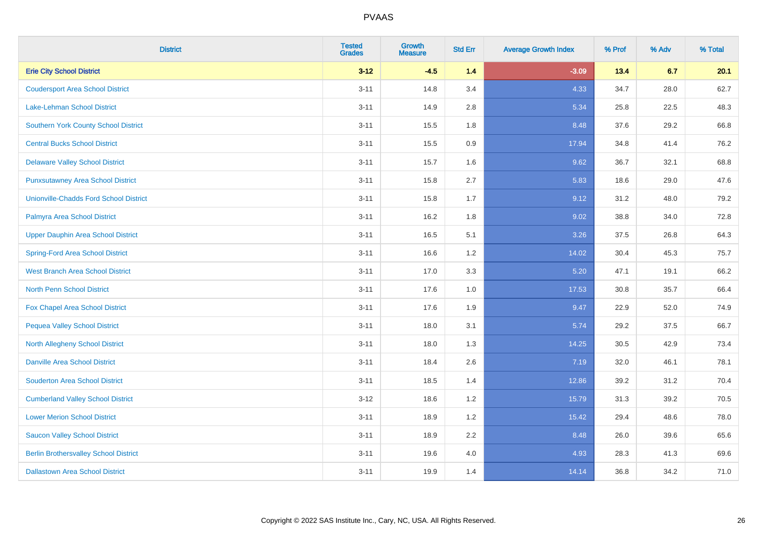| <b>District</b>                               | <b>Tested</b><br><b>Grades</b> | <b>Growth</b><br><b>Measure</b> | <b>Std Err</b> | <b>Average Growth Index</b> | % Prof | % Adv | % Total |
|-----------------------------------------------|--------------------------------|---------------------------------|----------------|-----------------------------|--------|-------|---------|
| <b>Erie City School District</b>              | $3 - 12$                       | $-4.5$                          | 1.4            | $-3.09$                     | 13.4   | 6.7   | 20.1    |
| <b>Coudersport Area School District</b>       | $3 - 11$                       | 14.8                            | 3.4            | 4.33                        | 34.7   | 28.0  | 62.7    |
| Lake-Lehman School District                   | $3 - 11$                       | 14.9                            | 2.8            | 5.34                        | 25.8   | 22.5  | 48.3    |
| <b>Southern York County School District</b>   | $3 - 11$                       | 15.5                            | 1.8            | 8.48                        | 37.6   | 29.2  | 66.8    |
| <b>Central Bucks School District</b>          | $3 - 11$                       | 15.5                            | 0.9            | 17.94                       | 34.8   | 41.4  | 76.2    |
| <b>Delaware Valley School District</b>        | $3 - 11$                       | 15.7                            | 1.6            | 9.62                        | 36.7   | 32.1  | 68.8    |
| <b>Punxsutawney Area School District</b>      | $3 - 11$                       | 15.8                            | 2.7            | 5.83                        | 18.6   | 29.0  | 47.6    |
| <b>Unionville-Chadds Ford School District</b> | $3 - 11$                       | 15.8                            | 1.7            | 9.12                        | 31.2   | 48.0  | 79.2    |
| Palmyra Area School District                  | $3 - 11$                       | 16.2                            | 1.8            | 9.02                        | 38.8   | 34.0  | 72.8    |
| <b>Upper Dauphin Area School District</b>     | $3 - 11$                       | 16.5                            | 5.1            | 3.26                        | 37.5   | 26.8  | 64.3    |
| <b>Spring-Ford Area School District</b>       | $3 - 11$                       | 16.6                            | 1.2            | 14.02                       | 30.4   | 45.3  | 75.7    |
| <b>West Branch Area School District</b>       | $3 - 11$                       | 17.0                            | 3.3            | 5.20                        | 47.1   | 19.1  | 66.2    |
| North Penn School District                    | $3 - 11$                       | 17.6                            | 1.0            | 17.53                       | 30.8   | 35.7  | 66.4    |
| <b>Fox Chapel Area School District</b>        | $3 - 11$                       | 17.6                            | 1.9            | 9.47                        | 22.9   | 52.0  | 74.9    |
| <b>Pequea Valley School District</b>          | $3 - 11$                       | 18.0                            | 3.1            | 5.74                        | 29.2   | 37.5  | 66.7    |
| North Allegheny School District               | $3 - 11$                       | 18.0                            | 1.3            | 14.25                       | 30.5   | 42.9  | 73.4    |
| <b>Danville Area School District</b>          | $3 - 11$                       | 18.4                            | 2.6            | 7.19                        | 32.0   | 46.1  | 78.1    |
| <b>Souderton Area School District</b>         | $3 - 11$                       | 18.5                            | 1.4            | 12.86                       | 39.2   | 31.2  | 70.4    |
| <b>Cumberland Valley School District</b>      | $3 - 12$                       | 18.6                            | 1.2            | 15.79                       | 31.3   | 39.2  | 70.5    |
| <b>Lower Merion School District</b>           | $3 - 11$                       | 18.9                            | 1.2            | 15.42                       | 29.4   | 48.6  | 78.0    |
| <b>Saucon Valley School District</b>          | $3 - 11$                       | 18.9                            | 2.2            | 8.48                        | 26.0   | 39.6  | 65.6    |
| <b>Berlin Brothersvalley School District</b>  | $3 - 11$                       | 19.6                            | 4.0            | 4.93                        | 28.3   | 41.3  | 69.6    |
| <b>Dallastown Area School District</b>        | $3 - 11$                       | 19.9                            | 1.4            | 14.14                       | 36.8   | 34.2  | 71.0    |